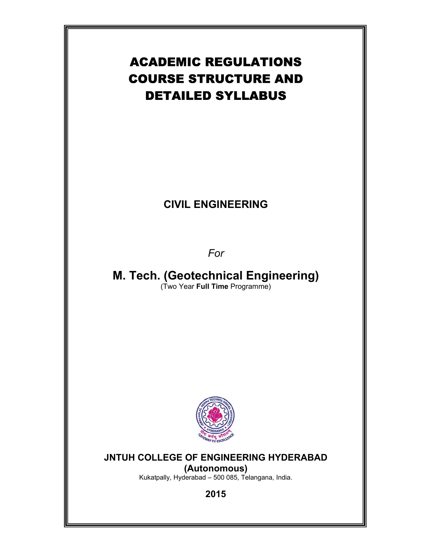# ACADEMIC REGULATIONS COURSE STRUCTURE AND DETAILED SYLLABUS

# **CIVIL ENGINEERING**

# *For*

**M. Tech. (Geotechnical Engineering)**  (Two Year **Full Time** Programme)



# **JNTUH COLLEGE OF ENGINEERING HYDERABAD (Autonomous)**

Kukatpally, Hyderabad – 500 085, Telangana, India.

**2015**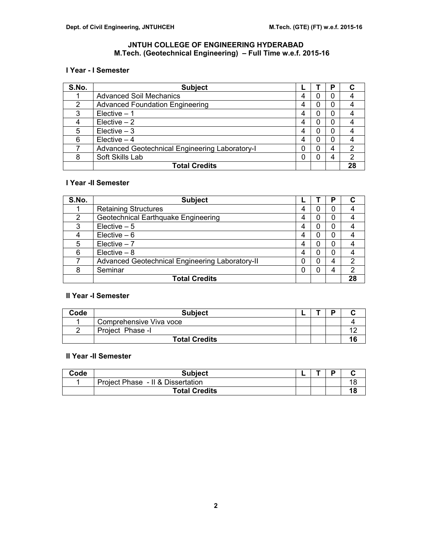# **JNTUH COLLEGE OF ENGINEERING HYDERABAD M.Tech. (Geotechnical Engineering) – Full Time w.e.f. 2015-16**

# **I Year - I Semester**

| S.No. | <b>Subject</b>                                        |   | Р |    |
|-------|-------------------------------------------------------|---|---|----|
|       | <b>Advanced Soil Mechanics</b>                        | 4 |   |    |
| 2     | <b>Advanced Foundation Engineering</b>                |   |   |    |
| 3     | Elective $-1$                                         | 4 |   |    |
|       | $Elective - 2$                                        |   |   |    |
| 5     | $Electric - 3$                                        |   |   |    |
| 6     | Elective $-4$                                         | 4 | 0 |    |
|       | <b>Advanced Geotechnical Engineering Laboratory-I</b> |   | 4 | 2  |
| 8     | Soft Skills Lab                                       |   | 4 | ົ  |
|       | <b>Total Credits</b>                                  |   |   | 28 |

# **I Year -II Semester**

| S.No. | <b>Subject</b>                                  |   | D |    |
|-------|-------------------------------------------------|---|---|----|
|       | <b>Retaining Structures</b>                     |   |   |    |
| 2     | Geotechnical Earthquake Engineering             |   |   |    |
| 3     | Elective $-5$                                   | 4 |   |    |
|       | Elective $-6$                                   | 4 |   |    |
| 5     | Elective $-7$                                   |   |   |    |
| 6     | $Electric - 8$                                  | 4 |   |    |
|       | Advanced Geotechnical Engineering Laboratory-II | 0 |   | 2  |
| 8     | Seminar                                         |   |   | 2  |
|       | <b>Total Credits</b>                            |   |   | 28 |

# **II Year -I Semester**

| Code | <b>Subject</b>          |  |    |
|------|-------------------------|--|----|
|      | Comprehensive Viva voce |  |    |
|      | Project Phase -I        |  |    |
|      | <b>Total Credits</b>    |  | 16 |

# **II Year -II Semester**

| Code | <b>Subject</b>                    |  | D |    |
|------|-----------------------------------|--|---|----|
|      | Project Phase - II & Dissertation |  |   | 18 |
|      | <b>Total Credits</b>              |  |   | 18 |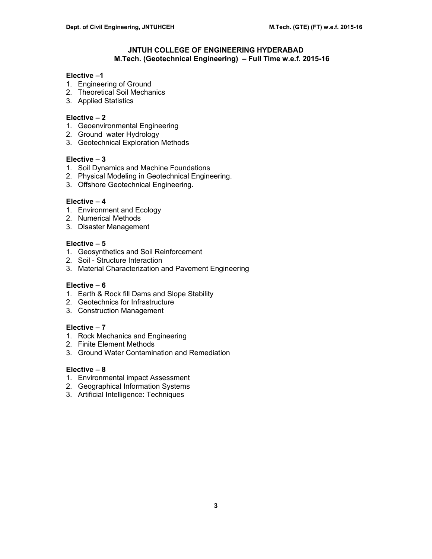# **JNTUH COLLEGE OF ENGINEERING HYDERABAD M.Tech. (Geotechnical Engineering) – Full Time w.e.f. 2015-16**

# **Elective –1**

- 1. Engineering of Ground
- 2. Theoretical Soil Mechanics
- 3. Applied Statistics

# **Elective – 2**

- 1. Geoenvironmental Engineering
- 2. Ground water Hydrology
- 3. Geotechnical Exploration Methods

# **Elective – 3**

- 1. Soil Dynamics and Machine Foundations
- 2. Physical Modeling in Geotechnical Engineering.
- 3. Offshore Geotechnical Engineering.

# **Elective – 4**

- 1. Environment and Ecology
- 2. Numerical Methods
- 3. Disaster Management

# **Elective – 5**

- 1. Geosynthetics and Soil Reinforcement
- 2. Soil Structure Interaction
- 3. Material Characterization and Pavement Engineering

# **Elective – 6**

- 1. Earth & Rock fill Dams and Slope Stability
- 2. Geotechnics for Infrastructure
- 3. Construction Management

# **Elective – 7**

- 1. Rock Mechanics and Engineering
- 2. Finite Element Methods
- 3. Ground Water Contamination and Remediation

# **Elective – 8**

- 1. Environmental impact Assessment
- 2. Geographical Information Systems
- 3. Artificial Intelligence: Techniques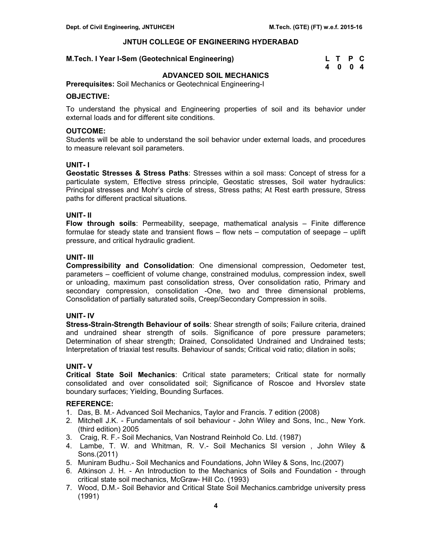# **M.Tech. I Year I-Sem (Geotechnical Engineering)**

| M.Tech. I Year I-Sem (Geotechnical Engineering) | L T P C |  |
|-------------------------------------------------|---------|--|
|                                                 | 4004    |  |

# **ADVANCED SOIL MECHANICS**

**Prerequisites:** Soil Mechanics or Geotechnical Engineering-I

# **OBJECTIVE:**

To understand the physical and Engineering properties of soil and its behavior under external loads and for different site conditions.

#### **OUTCOME:**

Students will be able to understand the soil behavior under external loads, and procedures to measure relevant soil parameters.

# **UNIT- I**

**Geostatic Stresses & Stress Paths**: Stresses within a soil mass: Concept of stress for a particulate system, Effective stress principle, Geostatic stresses, Soil water hydraulics: Principal stresses and Mohr's circle of stress, Stress paths; At Rest earth pressure, Stress paths for different practical situations.

# **UNIT- II**

**Flow through soils**: Permeability, seepage, mathematical analysis – Finite difference formulae for steady state and transient flows – flow nets – computation of seepage – uplift pressure, and critical hydraulic gradient.

# **UNIT- III**

**Compressibility and Consolidation**: One dimensional compression, Oedometer test, parameters – coefficient of volume change, constrained modulus, compression index, swell or unloading, maximum past consolidation stress, Over consolidation ratio, Primary and secondary compression, consolidation -One, two and three dimensional problems, Consolidation of partially saturated soils, Creep/Secondary Compression in soils.

# **UNIT- IV**

**Stress-Strain-Strength Behaviour of soils**: Shear strength of soils; Failure criteria, drained and undrained shear strength of soils. Significance of pore pressure parameters; Determination of shear strength; Drained, Consolidated Undrained and Undrained tests; Interpretation of triaxial test results. Behaviour of sands; Critical void ratio; dilation in soils;

# **UNIT- V**

**Critical State Soil Mechanics**: Critical state parameters; Critical state for normally consolidated and over consolidated soil; Significance of Roscoe and Hvorslev state boundary surfaces; Yielding, Bounding Surfaces.

- 1. Das, B. M.- Advanced Soil Mechanics, Taylor and Francis. 7 edition (2008)
- 2. Mitchell J.K. Fundamentals of soil behaviour John Wiley and Sons, Inc., New York. (third edition) 2005
- 3. Craig, R. F.- Soil Mechanics, Van Nostrand Reinhold Co. Ltd. (1987)
- 4. Lambe, T. W. and Whitman, R. V.- Soil Mechanics SI version , John Wiley & Sons.(2011)
- 5. Muniram Budhu.- Soil Mechanics and Foundations, John Wiley & Sons, Inc.(2007)
- 6. Atkinson J. H. An Introduction to the Mechanics of Soils and Foundation through critical state soil mechanics, McGraw- Hill Co. (1993)
- 7. Wood, D.M.- Soil Behavior and Critical State Soil Mechanics.cambridge university press (1991)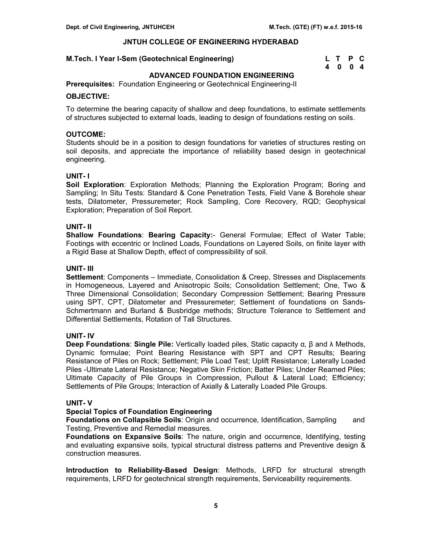# **M.Tech. I Year I-Sem (Geotechnical Engineering)**

| M.Tech. I Year I-Sem (Geotechnical Engineering) | L T P C |  |
|-------------------------------------------------|---------|--|
|                                                 | 4 0 0 4 |  |

# **ADVANCED FOUNDATION ENGINEERING**

**Prerequisites:** Foundation Engineering or Geotechnical Engineering-II

# **OBJECTIVE:**

To determine the bearing capacity of shallow and deep foundations, to estimate settlements of structures subjected to external loads, leading to design of foundations resting on soils.

# **OUTCOME:**

Students should be in a position to design foundations for varieties of structures resting on soil deposits, and appreciate the importance of reliability based design in geotechnical engineering.

# **UNIT- I**

**Soil Exploration**: Exploration Methods; Planning the Exploration Program; Boring and Sampling; In Situ Tests: Standard & Cone Penetration Tests, Field Vane & Borehole shear tests, Dilatometer, Pressuremeter; Rock Sampling, Core Recovery, RQD; Geophysical Exploration; Preparation of Soil Report.

# **UNIT- II**

**Shallow Foundations**: **Bearing Capacity:**- General Formulae; Effect of Water Table; Footings with eccentric or Inclined Loads, Foundations on Layered Soils, on finite layer with a Rigid Base at Shallow Depth, effect of compressibility of soil.

# **UNIT- III**

**Settlement**: Components – Immediate, Consolidation & Creep, Stresses and Displacements in Homogeneous, Layered and Anisotropic Soils; Consolidation Settlement; One, Two & Three Dimensional Consolidation; Secondary Compression Settlement; Bearing Pressure using SPT, CPT, Dilatometer and Pressuremeter; Settlement of foundations on Sands-Schmertmann and Burland & Busbridge methods; Structure Tolerance to Settlement and Differential Settlements, Rotation of Tall Structures.

# **UNIT- IV**

**Deep Foundations**: **Single Pile:** Vertically loaded piles, Static capacity α, β and λ Methods, Dynamic formulae; Point Bearing Resistance with SPT and CPT Results; Bearing Resistance of Piles on Rock; Settlement; Pile Load Test; Uplift Resistance; Laterally Loaded Piles -Ultimate Lateral Resistance; Negative Skin Friction; Batter Piles; Under Reamed Piles; Ultimate Capacity of Pile Groups in Compression, Pullout & Lateral Load; Efficiency; Settlements of Pile Groups; Interaction of Axially & Laterally Loaded Pile Groups.

#### **UNIT- V**

# **Special Topics of Foundation Engineering**

**Foundations on Collapsible Soils**: Origin and occurrence, Identification, Sampling and Testing, Preventive and Remedial measures.

**Foundations on Expansive Soils**: The nature, origin and occurrence, Identifying, testing and evaluating expansive soils, typical structural distress patterns and Preventive design & construction measures.

**Introduction to Reliability-Based Design**: Methods, LRFD for structural strength requirements, LRFD for geotechnical strength requirements, Serviceability requirements.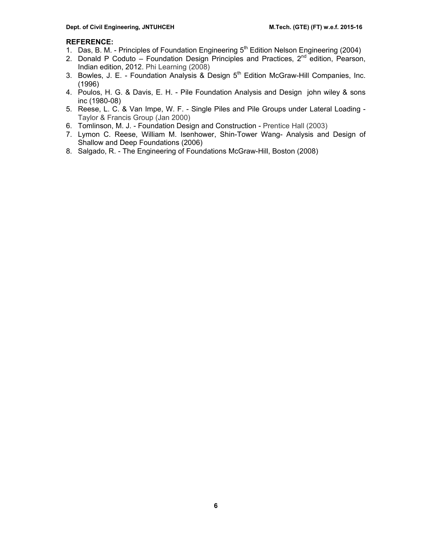- 1. Das, B. M. Principles of Foundation Engineering 5<sup>th</sup> Edition Nelson Engineering (2004)
- 2. Donald P Coduto Foundation Design Principles and Practices, 2<sup>nd</sup> edition, Pearson, Indian edition, 2012. Phi Learning (2008)
- 3. Bowles, J. E. Foundation Analysis & Design 5<sup>th</sup> Edition McGraw-Hill Companies, Inc. (1996)
- 4. Poulos, H. G. & Davis, E. H. Pile Foundation Analysis and Design john wiley & sons inc (1980-08)
- 5. Reese, L. C. & Van Impe, W. F. Single Piles and Pile Groups under Lateral Loading Taylor & Francis Group (Jan 2000)
- 6. Tomlinson, M. J. Foundation Design and Construction Prentice Hall (2003)
- 7. Lymon C. Reese, William M. Isenhower, Shin-Tower Wang- Analysis and Design of Shallow and Deep Foundations (2006)
- 8. Salgado, R. The Engineering of Foundations McGraw-Hill, Boston (2008)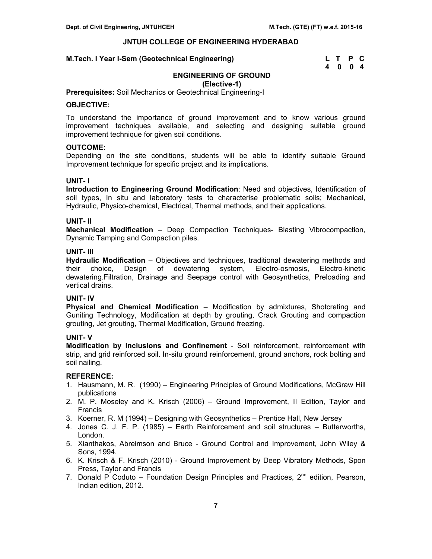#### **M.Tech. I Year I-Sem (Geotechnical Engineering)**

| M.Tech. I Year I-Sem (Geotechnical Engineering) | L T P C |  |
|-------------------------------------------------|---------|--|
|                                                 | 4004    |  |

# **ENGINEERING OF GROUND**

**(Elective-1)** 

**Prerequisites:** Soil Mechanics or Geotechnical Engineering-I

# **OBJECTIVE:**

To understand the importance of ground improvement and to know various ground improvement techniques available, and selecting and designing suitable ground improvement technique for given soil conditions.

# **OUTCOME:**

Depending on the site conditions, students will be able to identify suitable Ground Improvement technique for specific project and its implications.

# **UNIT- I**

**Introduction to Engineering Ground Modification**: Need and objectives, Identification of soil types, In situ and laboratory tests to characterise problematic soils; Mechanical, Hydraulic, Physico-chemical, Electrical, Thermal methods, and their applications.

# **UNIT- II**

**Mechanical Modification** – Deep Compaction Techniques- Blasting Vibrocompaction, Dynamic Tamping and Compaction piles.

# **UNIT- III**

**Hydraulic Modification** – Objectives and techniques, traditional dewatering methods and their choice, Design of dewatering system, Electro-osmosis, Electro-kinetic dewatering.Filtration, Drainage and Seepage control with Geosynthetics, Preloading and vertical drains.

# **UNIT- IV**

**Physical and Chemical Modification** – Modification by admixtures, Shotcreting and Guniting Technology, Modification at depth by grouting, Crack Grouting and compaction grouting, Jet grouting, Thermal Modification, Ground freezing.

# **UNIT- V**

**Modification by Inclusions and Confinement** - Soil reinforcement, reinforcement with strip, and grid reinforced soil. In-situ ground reinforcement, ground anchors, rock bolting and soil nailing.

- 1. Hausmann, M. R. (1990) Engineering Principles of Ground Modifications, McGraw Hill publications
- 2. M. P. Moseley and K. Krisch (2006) Ground Improvement, II Edition, Taylor and Francis
- 3. Koerner, R. M (1994) Designing with Geosynthetics Prentice Hall, New Jersey
- 4. Jones C. J. F. P. (1985) Earth Reinforcement and soil structures Butterworths, London.
- 5. Xianthakos, Abreimson and Bruce Ground Control and Improvement, John Wiley & Sons, 1994.
- 6. K. Krisch & F. Krisch (2010) Ground Improvement by Deep Vibratory Methods, Spon Press, Taylor and Francis
- 7. Donald P Coduto Foundation Design Principles and Practices,  $2<sup>nd</sup>$  edition, Pearson, Indian edition, 2012.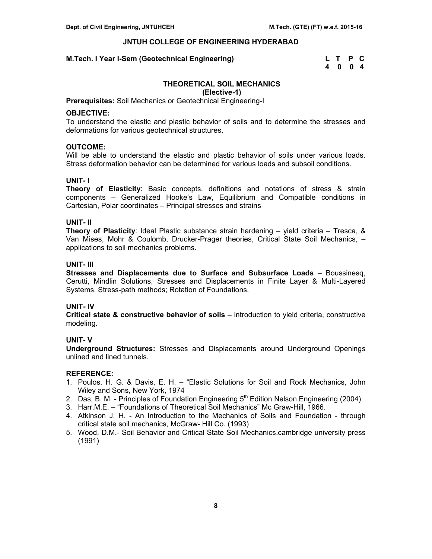# **M.Tech. I Year I-Sem (Geotechnical Engineering)**

| M.Tech. I Year I-Sem (Geotechnical Engineering) | L T P C |  |
|-------------------------------------------------|---------|--|
|                                                 | 4004    |  |

# **THEORETICAL SOIL MECHANICS**

**(Elective-1)** 

**Prerequisites:** Soil Mechanics or Geotechnical Engineering-I

#### **OBJECTIVE:**

To understand the elastic and plastic behavior of soils and to determine the stresses and deformations for various geotechnical structures.

# **OUTCOME:**

Will be able to understand the elastic and plastic behavior of soils under various loads. Stress deformation behavior can be determined for various loads and subsoil conditions.

# **UNIT- I**

**Theory of Elasticity**: Basic concepts, definitions and notations of stress & strain components – Generalized Hooke's Law, Equilibrium and Compatible conditions in Cartesian, Polar coordinates – Principal stresses and strains

# **UNIT- II**

**Theory of Plasticity**: Ideal Plastic substance strain hardening – yield criteria – Tresca, & Van Mises, Mohr & Coulomb, Drucker-Prager theories, Critical State Soil Mechanics, – applications to soil mechanics problems.

# **UNIT- III**

**Stresses and Displacements due to Surface and Subsurface Loads** – Boussinesq, Cerutti, Mindlin Solutions, Stresses and Displacements in Finite Layer & Multi-Layered Systems. Stress-path methods; Rotation of Foundations.

# **UNIT- IV**

**Critical state & constructive behavior of soils** – introduction to yield criteria, constructive modeling.

# **UNIT- V**

**Underground Structures:** Stresses and Displacements around Underground Openings unlined and lined tunnels.

- 1. Poulos, H. G. & Davis, E. H. "Elastic Solutions for Soil and Rock Mechanics, John Wiley and Sons, New York, 1974
- 2. Das, B. M. Principles of Foundation Engineering  $5<sup>th</sup>$  Edition Nelson Engineering (2004)
- 3. Harr,M.E. "Foundations of Theoretical Soil Mechanics" Mc Graw-Hill, 1966.
- 4. Atkinson J. H. An Introduction to the Mechanics of Soils and Foundation through critical state soil mechanics, McGraw- Hill Co. (1993)
- 5. Wood, D.M.- Soil Behavior and Critical State Soil Mechanics.cambridge university press (1991)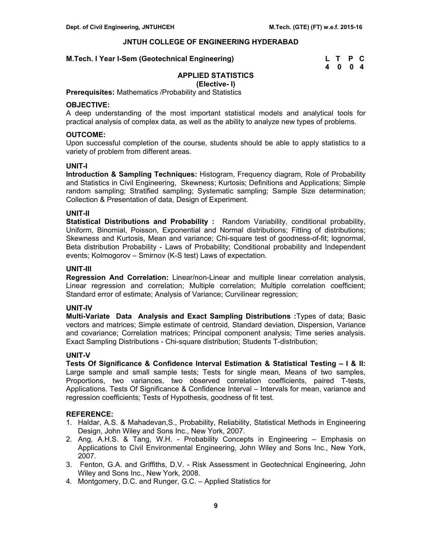# **M.Tech. I Year I-Sem (Geotechnical Engineering) L T P C**

# **4 0 0 4**

# **APPLIED STATISTICS**

**(Elective- I)** 

**Prerequisites:** Mathematics /Probability and Statistics

# **OBJECTIVE:**

A deep understanding of the most important statistical models and analytical tools for practical analysis of complex data, as well as the ability to analyze new types of problems.

# **OUTCOME:**

Upon successful completion of the course, students should be able to apply statistics to a variety of problem from different areas.

#### **UNIT-I**

**Introduction & Sampling Techniques:** Histogram, Frequency diagram, Role of Probability and Statistics in Civil Engineering, Skewness; Kurtosis; Definitions and Applications; Simple random sampling; Stratified sampling; Systematic sampling; Sample Size determination; Collection & Presentation of data, Design of Experiment.

# **UNIT-II**

**Statistical Distributions and Probability :** Random Variability, conditional probability, Uniform, Binomial, Poisson, Exponential and Normal distributions; Fitting of distributions; Skewness and Kurtosis, Mean and variance; Chi-square test of goodness-of-fit; lognormal, Beta distribution Probability - Laws of Probability; Conditional probability and Independent events; Kolmogorov – Smirnov (K-S test) Laws of expectation.

#### **UNIT-III**

**Regression And Correlation:** Linear/non-Linear and multiple linear correlation analysis, Linear regression and correlation; Multiple correlation; Multiple correlation coefficient; Standard error of estimate; Analysis of Variance; Curvilinear regression;

# **UNIT-IV**

**Multi-Variate Data Analysis and Exact Sampling Distributions :**Types of data; Basic vectors and matrices; Simple estimate of centroid, Standard deviation, Dispersion, Variance and covariance; Correlation matrices; Principal component analysis; Time series analysis. Exact Sampling Distributions - Chi-square distribution; Students T-distribution;

#### **UNIT-V**

**Tests Of Significance & Confidence Interval Estimation & Statistical Testing – I & II:**  Large sample and small sample tests; Tests for single mean, Means of two samples, Proportions, two variances, two observed correlation coefficients, paired T-tests, Applications. Tests Of Significance & Confidence Interval – Intervals for mean, variance and regression coefficients; Tests of Hypothesis, goodness of fit test.

- 1. Haldar, A.S. & Mahadevan,S., Probability, Reliability, Statistical Methods in Engineering Design, John Wiley and Sons Inc., New York, 2007.
- 2. Ang, A.H.S. & Tang, W.H. Probability Concepts in Engineering Emphasis on Applications to Civil Environmental Engineering, John Wiley and Sons Inc., New York, 2007.
- 3. Fenton, G.A. and Griffiths, D.V. Risk Assessment in Geotechnical Engineering, John Wiley and Sons Inc., New York, 2008.
- 4. Montgomery, D.C. and Runger, G.C. Applied Statistics for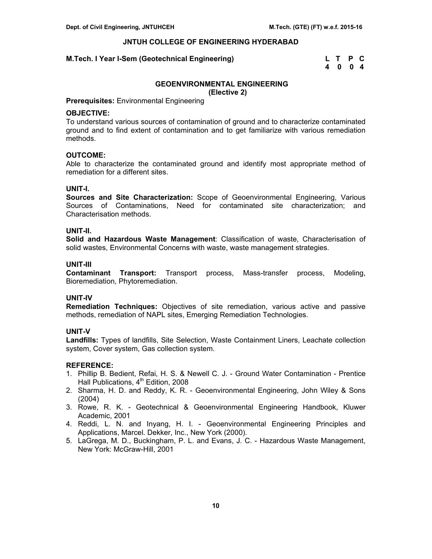# **M.Tech. I Year I-Sem (Geotechnical Engineering)**

| M.Tech. I Year I-Sem (Geotechnical Engineering) | L T P C |  |
|-------------------------------------------------|---------|--|
|                                                 | 4004    |  |

# **GEOENVIRONMENTAL ENGINEERING**

**(Elective 2)** 

#### **Prerequisites:** Environmental Engineering

#### **OBJECTIVE:**

To understand various sources of contamination of ground and to characterize contaminated ground and to find extent of contamination and to get familiarize with various remediation methods.

# **OUTCOME:**

Able to characterize the contaminated ground and identify most appropriate method of remediation for a different sites.

#### **UNIT-I.**

**Sources and Site Characterization:** Scope of Geoenvironmental Engineering, Various Sources of Contaminations, Need for contaminated site characterization; and Characterisation methods.

# **UNIT-II.**

**Solid and Hazardous Waste Management**: Classification of waste, Characterisation of solid wastes, Environmental Concerns with waste, waste management strategies.

#### **UNIT-III**

**Contaminant Transport:** Transport process, Mass-transfer process, Modeling, Bioremediation, Phytoremediation.

#### **UNIT-IV**

**Remediation Techniques:** Objectives of site remediation, various active and passive methods, remediation of NAPL sites, Emerging Remediation Technologies.

# **UNIT-V**

**Landfills:** Types of landfills, Site Selection, Waste Containment Liners, Leachate collection system, Cover system, Gas collection system.

- 1. Phillip B. Bedient, Refai, H. S. & Newell C. J. Ground Water Contamination Prentice Hall Publications, 4<sup>th</sup> Edition, 2008
- 2. Sharma, H. D. and Reddy, K. R. Geoenvironmental Engineering, John Wiley & Sons (2004)
- 3. Rowe, R. K. Geotechnical & Geoenvironmental Engineering Handbook, Kluwer Academic, 2001
- 4. Reddi, L. N. and Inyang, H. I. Geoenvironmental Engineering Principles and Applications, Marcel. Dekker, Inc., New York (2000).
- 5. LaGrega, M. D., Buckingham, P. L. and Evans, J. C. Hazardous Waste Management, New York: McGraw-Hill, 2001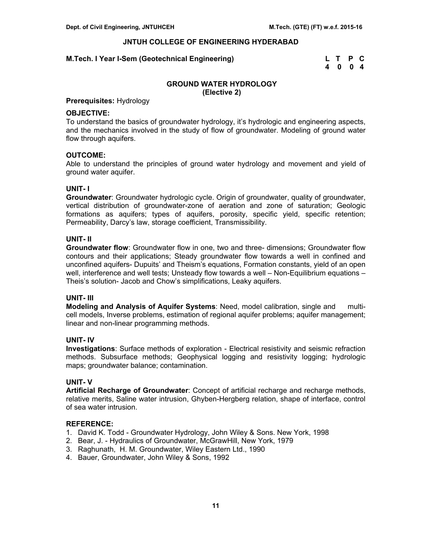#### **M.Tech. I Year I-Sem (Geotechnical Engineering)**

| M.Tech. I Year I-Sem (Geotechnical Engineering) | L T P C |  |
|-------------------------------------------------|---------|--|
|                                                 | 4004    |  |

# **GROUND WATER HYDROLOGY (Elective 2)**

# **Prerequisites:** Hydrology

#### **OBJECTIVE:**

To understand the basics of groundwater hydrology, it's hydrologic and engineering aspects, and the mechanics involved in the study of flow of groundwater. Modeling of ground water flow through aquifers.

# **OUTCOME:**

Able to understand the principles of ground water hydrology and movement and yield of ground water aquifer.

#### **UNIT- I**

**Groundwater**: Groundwater hydrologic cycle. Origin of groundwater, quality of groundwater, vertical distribution of groundwater-zone of aeration and zone of saturation; Geologic formations as aquifers; types of aquifers, porosity, specific yield, specific retention; Permeability, Darcy's law, storage coefficient, Transmissibility.

## **UNIT- II**

**Groundwater flow**: Groundwater flow in one, two and three- dimensions; Groundwater flow contours and their applications; Steady groundwater flow towards a well in confined and unconfined aquifers- Dupuits' and Theism's equations, Formation constants, yield of an open well, interference and well tests; Unsteady flow towards a well – Non-Equilibrium equations – Theis's solution- Jacob and Chow's simplifications, Leaky aquifers.

#### **UNIT- III**

**Modeling and Analysis of Aquifer Systems**: Need, model calibration, single and multicell models, Inverse problems, estimation of regional aquifer problems; aquifer management; linear and non-linear programming methods.

# **UNIT- IV**

**Investigations**: Surface methods of exploration - Electrical resistivity and seismic refraction methods. Subsurface methods; Geophysical logging and resistivity logging; hydrologic maps; groundwater balance; contamination.

# **UNIT- V**

**Artificial Recharge of Groundwater**: Concept of artificial recharge and recharge methods, relative merits, Saline water intrusion, Ghyben-Hergberg relation, shape of interface, control of sea water intrusion.

- 1. David K. Todd Groundwater Hydrology, John Wiley & Sons. New York, 1998
- 2. Bear, J. Hydraulics of Groundwater, McGrawHill, New York, 1979
- 3. Raghunath, H. M. Groundwater, Wiley Eastern Ltd., 1990
- 4. Bauer, Groundwater, John Wiley & Sons, 1992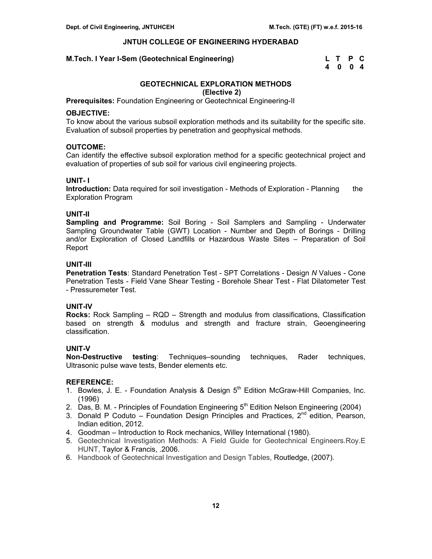# **M.Tech. I Year I-Sem (Geotechnical Engineering)**

| M.Tech. I Year I-Sem (Geotechnical Engineering) | L T P C |  |
|-------------------------------------------------|---------|--|
|                                                 | 4004    |  |

# **GEOTECHNICAL EXPLORATION METHODS**

**(Elective 2)** 

**Prerequisites:** Foundation Engineering or Geotechnical Engineering-II

# **OBJECTIVE:**

To know about the various subsoil exploration methods and its suitability for the specific site. Evaluation of subsoil properties by penetration and geophysical methods.

# **OUTCOME:**

Can identify the effective subsoil exploration method for a specific geotechnical project and evaluation of properties of sub soil for various civil engineering projects.

# **UNIT- I**

**Introduction:** Data required for soil investigation - Methods of Exploration - Planning the Exploration Program

# **UNIT-II**

**Sampling and Programme:** Soil Boring - Soil Samplers and Sampling - Underwater Sampling Groundwater Table (GWT) Location - Number and Depth of Borings - Drilling and/or Exploration of Closed Landfills or Hazardous Waste Sites – Preparation of Soil Report

# **UNIT-III**

**Penetration Tests**: Standard Penetration Test - SPT Correlations - Design *N* Values - Cone Penetration Tests - Field Vane Shear Testing - Borehole Shear Test - Flat Dilatometer Test - Pressuremeter Test.

# **UNIT-IV**

**Rocks:** Rock Sampling – RQD – Strength and modulus from classifications, Classification based on strength & modulus and strength and fracture strain, Geoengineering classification.

# **UNIT-V**

**Non-Destructive testing**: Techniques–sounding techniques, Rader techniques, Ultrasonic pulse wave tests, Bender elements etc.

- 1. Bowles, J. E. Foundation Analysis & Design  $5<sup>th</sup>$  Edition McGraw-Hill Companies, Inc. (1996)
- 2. Das, B. M. Principles of Foundation Engineering  $5<sup>th</sup>$  Edition Nelson Engineering (2004)
- 3. Donald P Coduto Foundation Design Principles and Practices,  $2^{nd}$  edition, Pearson, Indian edition, 2012.
- 4. Goodman Introduction to Rock mechanics, Willey International (1980).
- 5. Geotechnical Investigation Methods: A Field Guide for Geotechnical Engineers.Roy.E HUNT, Taylor & Francis, .2006.
- 6. Handbook of Geotechnical Investigation and Design Tables, Routledge, (2007).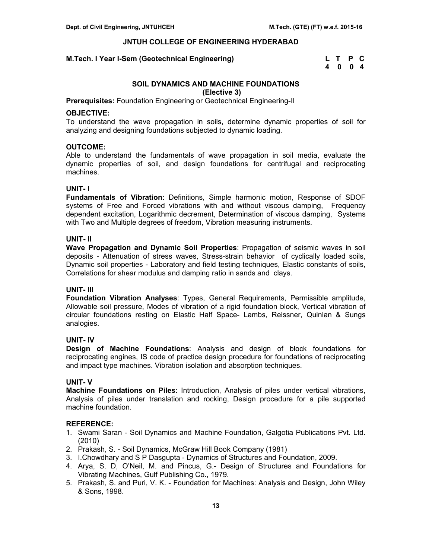#### **M.Tech. I Year I-Sem (Geotechnical Engineering)**

| M.Tech. I Year I-Sem (Geotechnical Engineering) | L T P C |  |
|-------------------------------------------------|---------|--|
|                                                 | 4004    |  |

# **SOIL DYNAMICS AND MACHINE FOUNDATIONS**

**(Elective 3)** 

**Prerequisites:** Foundation Engineering or Geotechnical Engineering-II

#### **OBJECTIVE:**

To understand the wave propagation in soils, determine dynamic properties of soil for analyzing and designing foundations subjected to dynamic loading.

# **OUTCOME:**

Able to understand the fundamentals of wave propagation in soil media, evaluate the dynamic properties of soil, and design foundations for centrifugal and reciprocating machines.

# **UNIT- I**

**Fundamentals of Vibration**: Definitions, Simple harmonic motion, Response of SDOF systems of Free and Forced vibrations with and without viscous damping, Frequency dependent excitation, Logarithmic decrement, Determination of viscous damping, Systems with Two and Multiple degrees of freedom, Vibration measuring instruments.

# **UNIT- II**

**Wave Propagation and Dynamic Soil Properties**: Propagation of seismic waves in soil deposits - Attenuation of stress waves, Stress-strain behavior of cyclically loaded soils, Dynamic soil properties - Laboratory and field testing techniques, Elastic constants of soils, Correlations for shear modulus and damping ratio in sands and clays.

# **UNIT- III**

**Foundation Vibration Analyses**: Types, General Requirements, Permissible amplitude, Allowable soil pressure, Modes of vibration of a rigid foundation block, Vertical vibration of circular foundations resting on Elastic Half Space- Lambs, Reissner, Quinlan & Sungs analogies.

# **UNIT- IV**

**Design of Machine Foundations**: Analysis and design of block foundations for reciprocating engines, IS code of practice design procedure for foundations of reciprocating and impact type machines. Vibration isolation and absorption techniques.

# **UNIT- V**

**Machine Foundations on Piles**: Introduction, Analysis of piles under vertical vibrations, Analysis of piles under translation and rocking, Design procedure for a pile supported machine foundation.

- 1. Swami Saran Soil Dynamics and Machine Foundation, Galgotia Publications Pvt. Ltd. (2010)
- 2. Prakash, S. Soil Dynamics, McGraw Hill Book Company (1981)
- 3. I.Chowdhary and S P Dasgupta Dynamics of Structures and Foundation, 2009.
- 4. Arya, S. D, O'Neil, M. and Pincus, G.- Design of Structures and Foundations for Vibrating Machines, Gulf Publishing Co., 1979.
- 5. Prakash, S. and Puri, V. K. Foundation for Machines: Analysis and Design, John Wiley & Sons, 1998.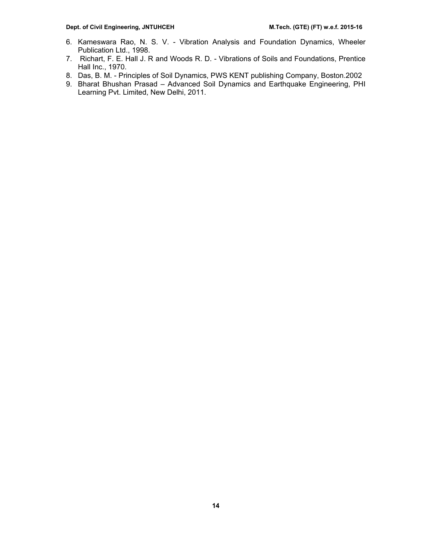- 6. Kameswara Rao, N. S. V. Vibration Analysis and Foundation Dynamics, Wheeler Publication Ltd., 1998.
- 7. Richart, F. E. Hall J. R and Woods R. D. Vibrations of Soils and Foundations, Prentice Hall Inc., 1970.
- 8. Das, B. M. Principles of Soil Dynamics, PWS KENT publishing Company, Boston.2002
- 9. Bharat Bhushan Prasad Advanced Soil Dynamics and Earthquake Engineering, PHI Learning Pvt. Limited, New Delhi, 2011.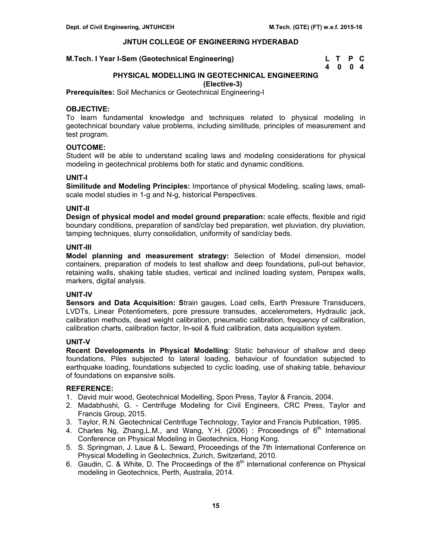#### **M.Tech. I Year I-Sem (Geotechnical Engineering)**

| M.Tech. I Year I-Sem (Geotechnical Engineering) | L T P C |  |
|-------------------------------------------------|---------|--|
|                                                 | 4004    |  |

# **PHYSICAL MODELLING IN GEOTECHNICAL ENGINEERING (Elective-3)**

**Prerequisites:** Soil Mechanics or Geotechnical Engineering-I

# **OBJECTIVE:**

To learn fundamental knowledge and techniques related to physical modeling in geotechnical boundary value problems, including similitude, principles of measurement and test program.

# **OUTCOME:**

Student will be able to understand scaling laws and modeling considerations for physical modeling in geotechnical problems both for static and dynamic conditions.

#### **UNIT-I**

**Similitude and Modeling Principles:** Importance of physical Modeling, scaling laws, smallscale model studies in 1-g and N-g, historical Perspectives.

#### **UNIT-II**

**Design of physical model and model ground preparation:** scale effects, flexible and rigid boundary conditions, preparation of sand/clay bed preparation, wet pluviation, dry pluviation, tamping techniques, slurry consolidation, uniformity of sand/clay beds.

#### **UNIT-III**

**Model planning and measurement strategy:** Selection of Model dimension, model containers, preparation of models to test shallow and deep foundations, pull-out behavior, retaining walls, shaking table studies, vertical and inclined loading system, Perspex walls, markers, digital analysis.

# **UNIT-IV**

**Sensors and Data Acquisition: S**train gauges, Load cells, Earth Pressure Transducers, LVDTs, Linear Potentiometers, pore pressure transudes, accelerometers, Hydraulic jack, calibration methods, dead weight calibration, pneumatic calibration, frequency of calibration, calibration charts, calibration factor, In-soil & fluid calibration, data acquisition system.

#### **UNIT-V**

**Recent Developments in Physical Modelling**: Static behaviour of shallow and deep foundations, Piles subjected to lateral loading, behaviour of foundation subjected to earthquake loading, foundations subjected to cyclic loading, use of shaking table, behaviour of foundations on expansive soils.

- 1. David muir wood, Geotechnical Modelling, Spon Press, Taylor & Francis, 2004.
- 2. Madabhushi, G. Centrifuge Modeling for Civil Engineers, CRC Press, Taylor and Francis Group, 2015.
- 3. Taylor, R.N. Geotechnical Centrifuge Technology, Taylor and Francis Publication, 1995.
- 4. Charles Ng, Zhang, L.M., and Wang, Y.H. (2006) : Proceedings of  $6<sup>th</sup>$  International Conference on Physical Modeling in Geotechnics, Hong Kong.
- 5. S. Springman, J. Laue & L. Seward, Proceedings of the 7th International Conference on Physical Modelling in Geotechnics, Zurich, Switzerland, 2010.
- 6. Gaudin, C. & White, D. The Proceedings of the  $8<sup>th</sup>$  international conference on Physical modeling in Geotechnics, Perth, Australia, 2014.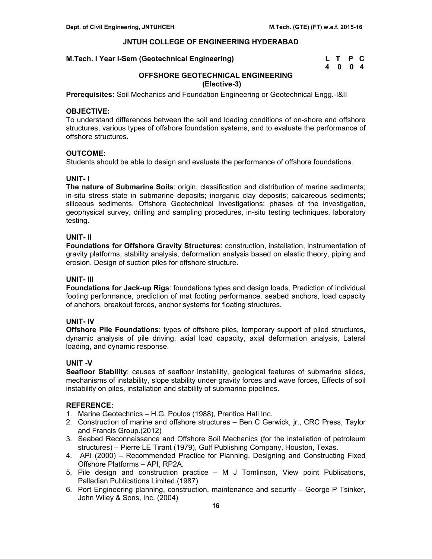# **M.Tech. I Year I-Sem (Geotechnical Engineering)**

| M.Tech. I Year I-Sem (Geotechnical Engineering) | L T P C |  |
|-------------------------------------------------|---------|--|
|                                                 | 4004    |  |

# **OFFSHORE GEOTECHNICAL ENGINEERING (Elective-3)**

**Prerequisites:** Soil Mechanics and Foundation Engineering or Geotechnical Engg.-I&II

# **OBJECTIVE:**

To understand differences between the soil and loading conditions of on-shore and offshore structures, various types of offshore foundation systems, and to evaluate the performance of offshore structures.

# **OUTCOME:**

Students should be able to design and evaluate the performance of offshore foundations.

# **UNIT- I**

**The nature of Submarine Soils**: origin, classification and distribution of marine sediments; in-situ stress state in submarine deposits; inorganic clay deposits; calcareous sediments; siliceous sediments. Offshore Geotechnical Investigations: phases of the investigation, geophysical survey, drilling and sampling procedures, in-situ testing techniques, laboratory testing.

# **UNIT- II**

**Foundations for Offshore Gravity Structures**: construction, installation, instrumentation of gravity platforms, stability analysis, deformation analysis based on elastic theory, piping and erosion. Design of suction piles for offshore structure.

# **UNIT- III**

**Foundations for Jack-up Rigs**: foundations types and design loads, Prediction of individual footing performance, prediction of mat footing performance, seabed anchors, load capacity of anchors, breakout forces, anchor systems for floating structures.

# **UNIT- IV**

**Offshore Pile Foundations**: types of offshore piles, temporary support of piled structures, dynamic analysis of pile driving, axial load capacity, axial deformation analysis, Lateral loading, and dynamic response.

# **UNIT -V**

**Seafloor Stability**: causes of seafloor instability, geological features of submarine slides, mechanisms of instability, slope stability under gravity forces and wave forces, Effects of soil instability on piles, installation and stability of submarine pipelines.

- 1. Marine Geotechnics H.G. Poulos (1988), Prentice Hall Inc.
- 2. Construction of marine and offshore structures Ben C Gerwick, jr., CRC Press, Taylor and Francis Group.(2012)
- 3. Seabed Reconnaissance and Offshore Soil Mechanics (for the installation of petroleum structures) – Pierre LE Tirant (1979), Gulf Publishing Company, Houston, Texas.
- 4. API (2000) Recommended Practice for Planning, Designing and Constructing Fixed Offshore Platforms – API, RP2A.
- 5. Pile design and construction practice M J Tomlinson, View point Publications, Palladian Publications Limited.(1987)
- 6. Port Engineering planning, construction, maintenance and security George P Tsinker, John Wiley & Sons, Inc. (2004)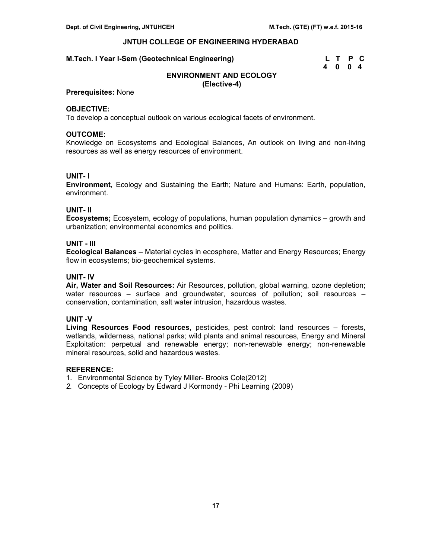| M.Tech. I Year I-Sem (Geotechnical Engineering) | L T P C |  |  |
|-------------------------------------------------|---------|--|--|
|                                                 | 4004    |  |  |

# **ENVIRONMENT AND ECOLOGY (Elective-4)**

**Prerequisites:** None

# **OBJECTIVE:**

To develop a conceptual outlook on various ecological facets of environment.

# **OUTCOME:**

Knowledge on Ecosystems and Ecological Balances, An outlook on living and non-living resources as well as energy resources of environment.

# **UNIT- I**

**Environment,** Ecology and Sustaining the Earth; Nature and Humans: Earth, population, environment.

# **UNIT- II**

**Ecosystems;** Ecosystem, ecology of populations, human population dynamics – growth and urbanization; environmental economics and politics.

# **UNIT - III**

**Ecological Balances** – Material cycles in ecosphere, Matter and Energy Resources; Energy flow in ecosystems; bio-geochemical systems.

# **UNIT- IV**

**Air, Water and Soil Resources:** Air Resources, pollution, global warning, ozone depletion; water resources – surface and groundwater, sources of pollution; soil resources – conservation, contamination, salt water intrusion, hazardous wastes.

# **UNIT** -**V**

**Living Resources Food resources,** pesticides, pest control: land resources – forests, wetlands, wilderness, national parks; wild plants and animal resources, Energy and Mineral Exploitation: perpetual and renewable energy; non-renewable energy; non-renewable mineral resources, solid and hazardous wastes.

#### **REFERENCE:**

1. Environmental Science by Tyley Miller- Brooks Cole(2012)

*2.* Concepts of Ecology by Edward J Kormondy - Phi Learning (2009)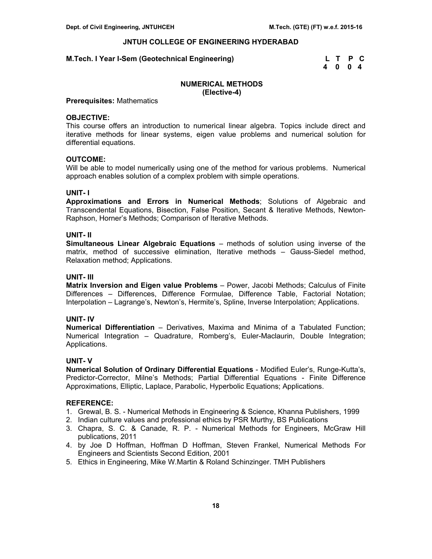#### **M.Tech. I Year I-Sem (Geotechnical Engineering)**

| M.Tech. I Year I-Sem (Geotechnical Engineering) | L T P C |  |  |
|-------------------------------------------------|---------|--|--|
|                                                 | 4004    |  |  |

# **NUMERICAL METHODS (Elective-4)**

#### **Prerequisites:** Mathematics

#### **OBJECTIVE:**

This course offers an introduction to numerical linear algebra. Topics include direct and iterative methods for linear systems, eigen value problems and numerical solution for differential equations.

# **OUTCOME:**

Will be able to model numerically using one of the method for various problems. Numerical approach enables solution of a complex problem with simple operations.

#### **UNIT- I**

**Approximations and Errors in Numerical Methods**; Solutions of Algebraic and Transcendental Equations, Bisection, False Position, Secant & Iterative Methods, Newton-Raphson, Horner's Methods; Comparison of Iterative Methods.

#### **UNIT- II**

**Simultaneous Linear Algebraic Equations** – methods of solution using inverse of the matrix, method of successive elimination, Iterative methods – Gauss-Siedel method, Relaxation method; Applications.

# **UNIT- III**

**Matrix Inversion and Eigen value Problems** – Power, Jacobi Methods; Calculus of Finite Differences – Differences, Difference Formulae, Difference Table, Factorial Notation; Interpolation – Lagrange's, Newton's, Hermite's, Spline, Inverse Interpolation; Applications.

# **UNIT- IV**

**Numerical Differentiation** – Derivatives, Maxima and Minima of a Tabulated Function; Numerical Integration – Quadrature, Romberg's, Euler-Maclaurin, Double Integration; Applications.

#### **UNIT- V**

**Numerical Solution of Ordinary Differential Equations** - Modified Euler's, Runge-Kutta's, Predictor-Corrector, Milne's Methods; Partial Differential Equations - Finite Difference Approximations, Elliptic, Laplace, Parabolic, Hyperbolic Equations; Applications.

- 1. Grewal, B. S. Numerical Methods in Engineering & Science, Khanna Publishers, 1999
- 2. Indian culture values and professional ethics by PSR Murthy, BS Publications
- 3. Chapra, S. C. & Canade, R. P. Numerical Methods for Engineers, McGraw Hill publications, 2011
- 4. by Joe D Hoffman, Hoffman D Hoffman, Steven Frankel, Numerical Methods For Engineers and Scientists Second Edition, 2001
- 5. Ethics in Engineering, Mike W.Martin & Roland Schinzinger. TMH Publishers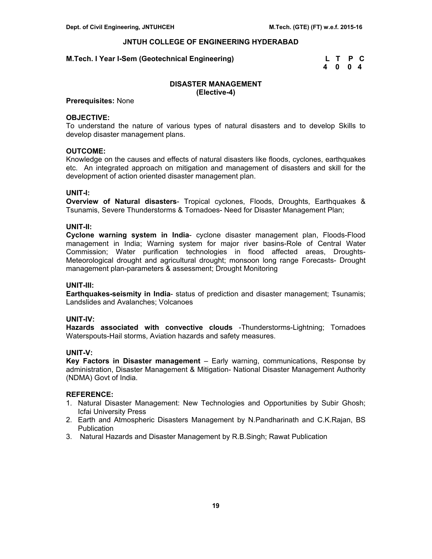#### **M.Tech. I Year I-Sem (Geotechnical Engineering)**

| M.Tech. I Year I-Sem (Geotechnical Engineering) | L T P C |  |  |
|-------------------------------------------------|---------|--|--|
|                                                 | 4004    |  |  |

# **DISASTER MANAGEMENT (Elective-4)**

# **Prerequisites:** None

#### **OBJECTIVE:**

To understand the nature of various types of natural disasters and to develop Skills to develop disaster management plans.

#### **OUTCOME:**

Knowledge on the causes and effects of natural disasters like floods, cyclones, earthquakes etc. An integrated approach on mitigation and management of disasters and skill for the development of action oriented disaster management plan.

#### **UNIT-I:**

**Overview of Natural disasters**- Tropical cyclones, Floods, Droughts, Earthquakes & Tsunamis, Severe Thunderstorms & Tornadoes- Need for Disaster Management Plan;

#### **UNIT-II:**

**Cyclone warning system in India**- cyclone disaster management plan, Floods-Flood management in India; Warning system for major river basins-Role of Central Water Commission; Water purification technologies in flood affected areas, Droughts-Meteorological drought and agricultural drought; monsoon long range Forecasts- Drought management plan-parameters & assessment; Drought Monitoring

#### **UNIT-III:**

**Earthquakes-seismity in India**- status of prediction and disaster management; Tsunamis; Landslides and Avalanches; Volcanoes

# **UNIT-IV:**

**Hazards associated with convective clouds** -Thunderstorms-Lightning; Tornadoes Waterspouts-Hail storms, Aviation hazards and safety measures.

#### **UNIT-V:**

**Key Factors in Disaster management** – Early warning, communications, Response by administration, Disaster Management & Mitigation- National Disaster Management Authority (NDMA) Govt of India.

- 1. Natural Disaster Management: New Technologies and Opportunities by Subir Ghosh; Icfai University Press
- 2. Earth and Atmospheric Disasters Management by N.Pandharinath and C.K.Rajan, BS **Publication**
- 3. Natural Hazards and Disaster Management by R.B.Singh; Rawat Publication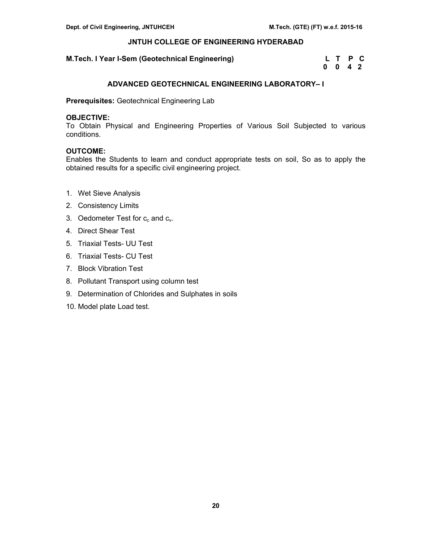# **M.Tech. I Year I-Sem (Geotechnical Engineering)**

| M.Tech. I Year I-Sem (Geotechnical Engineering) | L T P C |  |  |
|-------------------------------------------------|---------|--|--|
|                                                 | 0 0 4 2 |  |  |

# **ADVANCED GEOTECHNICAL ENGINEERING LABORATORY– I**

**Prerequisites:** Geotechnical Engineering Lab

# **OBJECTIVE:**

To Obtain Physical and Engineering Properties of Various Soil Subjected to various conditions.

# **OUTCOME:**

Enables the Students to learn and conduct appropriate tests on soil, So as to apply the obtained results for a specific civil engineering project.

- 1. Wet Sieve Analysis
- 2. Consistency Limits
- 3. Oedometer Test for  $c_c$  and  $c_v$ .
- 4. Direct Shear Test
- 5. Triaxial Tests- UU Test
- 6. Triaxial Tests- CU Test
- 7. Block Vibration Test
- 8. Pollutant Transport using column test
- 9. Determination of Chlorides and Sulphates in soils
- 10. Model plate Load test.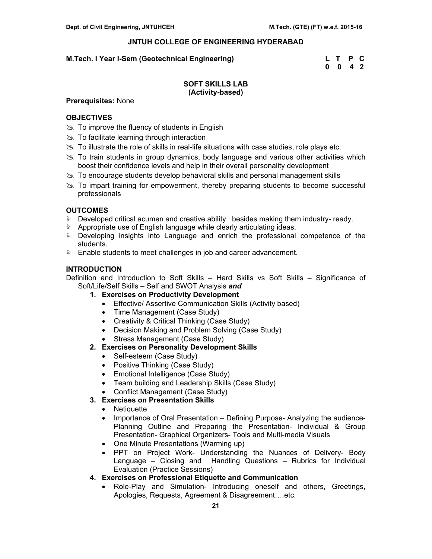# **M.Tech. I Year I-Sem (Geotechnical Engineering)**

| M.Tech. I Year I-Sem (Geotechnical Engineering) | L T P C            |  |
|-------------------------------------------------|--------------------|--|
|                                                 | $0 \t 0 \t 4 \t 2$ |  |

# **SOFT SKILLS LAB (Activity-based)**

# **Prerequisites:** None

# **OBJECTIVES**

- $\geq$  To improve the fluency of students in English
- $\approx$  To facilitate learning through interaction
- $\gg$  To illustrate the role of skills in real-life situations with case studies, role plays etc.
- $\geq$  To train students in group dynamics, body language and various other activities which boost their confidence levels and help in their overall personality development
- **& To encourage students develop behavioral skills and personal management skills**
- $\gg$  To impart training for empowerment, thereby preparing students to become successful professionals

# **OUTCOMES**

- $\bullet$  Developed critical acumen and creative ability besides making them industry-ready.
- $\bullet$  Appropriate use of English language while clearly articulating ideas.
- & Developing insights into Language and enrich the professional competence of the students.
- **Enable students to meet challenges in job and career advancement.**

# **INTRODUCTION**

Definition and Introduction to Soft Skills – Hard Skills vs Soft Skills – Significance of Soft/Life/Self Skills – Self and SWOT Analysis *and*

- **1. Exercises on Productivity Development** 
	- Effective/ Assertive Communication Skills (Activity based)
	- Time Management (Case Study)
	- Creativity & Critical Thinking (Case Study)
	- Decision Making and Problem Solving (Case Study)
	- Stress Management (Case Study)
- **2. Exercises on Personality Development Skills** 
	- Self-esteem (Case Study)
	- Positive Thinking (Case Study)
	- Emotional Intelligence (Case Study)
	- Team building and Leadership Skills (Case Study)
	- Conflict Management (Case Study)

# **3. Exercises on Presentation Skills**

- **Netiquette**
- Importance of Oral Presentation Defining Purpose- Analyzing the audience-Planning Outline and Preparing the Presentation- Individual & Group Presentation- Graphical Organizers- Tools and Multi-media Visuals
- One Minute Presentations (Warming up)
- PPT on Project Work- Understanding the Nuances of Delivery- Body Language – Closing and Handling Questions – Rubrics for Individual Evaluation (Practice Sessions)

# **4. Exercises on Professional Etiquette and Communication**

• Role-Play and Simulation- Introducing oneself and others, Greetings, Apologies, Requests, Agreement & Disagreement….etc.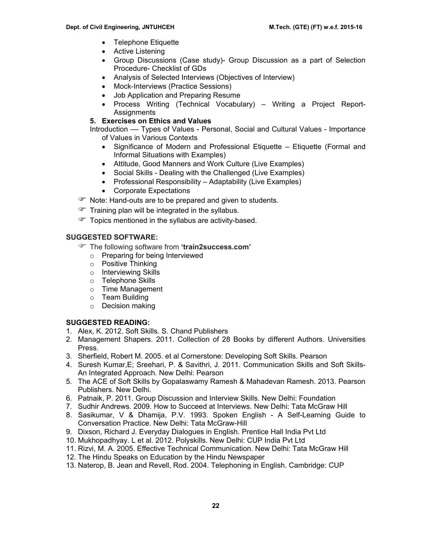- Telephone Etiquette
- Active Listening
- Group Discussions (Case study)- Group Discussion as a part of Selection Procedure- Checklist of GDs
- Analysis of Selected Interviews (Objectives of Interview)
- Mock-Interviews (Practice Sessions)
- Job Application and Preparing Resume
- Process Writing (Technical Vocabulary) Writing a Project Report-**Assignments**

# **5. Exercises on Ethics and Values**

Introduction –– Types of Values - Personal, Social and Cultural Values - Importance of Values in Various Contexts

- Significance of Modern and Professional Etiquette Etiquette (Formal and Informal Situations with Examples)
- Attitude, Good Manners and Work Culture (Live Examples)
- Social Skills Dealing with the Challenged (Live Examples)
- Professional Responsibility Adaptability (Live Examples)
- Corporate Expectations
- **P** Note: Hand-outs are to be prepared and given to students.
- $\mathcal{F}$  Training plan will be integrated in the syllabus.
- $\mathcal{F}$  Topics mentioned in the syllabus are activity-based.

# **SUGGESTED SOFTWARE:**

- ) The following software from **'train2success.com'** 
	- o Preparing for being Interviewed
	- o Positive Thinking
	- o Interviewing Skills
	- o Telephone Skills
	- o Time Management
	- o Team Building
	- o Decision making

# **SUGGESTED READING:**

- 1. Alex, K. 2012. Soft Skills. S. Chand Publishers
- 2. Management Shapers. 2011. Collection of 28 Books by different Authors. Universities Press.
- 3. Sherfield, Robert M. 2005. et al Cornerstone: Developing Soft Skills. Pearson
- 4. Suresh Kumar,E; Sreehari, P. & Savithri, J. 2011. Communication Skills and Soft Skills-An Integrated Approach. New Delhi: Pearson
- 5. The ACE of Soft Skills by Gopalaswamy Ramesh & Mahadevan Ramesh. 2013. Pearson Publishers. New Delhi.
- 6. Patnaik, P. 2011. Group Discussion and Interview Skills. New Delhi: Foundation
- 7. Sudhir Andrews. 2009. How to Succeed at Interviews. New Delhi: Tata McGraw Hill
- 8. Sasikumar, V & Dhamija, P.V. 1993. Spoken English A Self-Learning Guide to Conversation Practice. New Delhi: Tata McGraw-Hill
- 9. Dixson, Richard J. Everyday Dialogues in English. Prentice Hall India Pvt Ltd
- 10. Mukhopadhyay. L et al. 2012. Polyskills. New Delhi: CUP India Pvt Ltd
- 11. Rizvi, M. A. 2005. Effective Technical Communication. New Delhi: Tata McGraw Hill
- 12. The Hindu Speaks on Education by the Hindu Newspaper
- 13. Naterop, B. Jean and Revell, Rod. 2004. Telephoning in English. Cambridge: CUP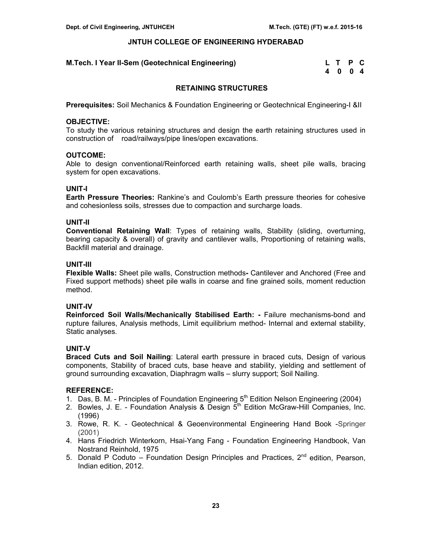#### **M.Tech. I Year II-Sem (Geotechnical Engineering)**

| M.Tech. I Year II-Sem (Geotechnical Engineering)_ | L T P C |  |
|---------------------------------------------------|---------|--|
|                                                   | 4 0 0 4 |  |

# **RETAINING STRUCTURES**

**Prerequisites:** Soil Mechanics & Foundation Engineering or Geotechnical Engineering-I &II

#### **OBJECTIVE:**

To study the various retaining structures and design the earth retaining structures used in construction of road/railways/pipe lines/open excavations.

# **OUTCOME:**

Able to design conventional/Reinforced earth retaining walls, sheet pile walls, bracing system for open excavations.

# **UNIT-I**

**Earth Pressure Theories:** Rankine's and Coulomb's Earth pressure theories for cohesive and cohesionless soils, stresses due to compaction and surcharge loads.

# **UNIT-II**

**Conventional Retaining Wall**: Types of retaining walls, Stability (sliding, overturning, bearing capacity & overall) of gravity and cantilever walls, Proportioning of retaining walls, Backfill material and drainage.

# **UNIT-III**

**Flexible Walls:** Sheet pile walls, Construction methods**-** Cantilever and Anchored (Free and Fixed support methods) sheet pile walls in coarse and fine grained soils, moment reduction method.

# **UNIT-IV**

**Reinforced Soil Walls/Mechanically Stabilised Earth: -** Failure mechanisms-bond and rupture failures, Analysis methods, Limit equilibrium method- Internal and external stability, Static analyses.

# **UNIT-V**

**Braced Cuts and Soil Nailing**: Lateral earth pressure in braced cuts, Design of various components, Stability of braced cuts, base heave and stability, yielding and settlement of ground surrounding excavation, Diaphragm walls – slurry support; Soil Nailing.

- 1. Das, B. M. Principles of Foundation Engineering  $5<sup>th</sup>$  Edition Nelson Engineering (2004)
- 2. Bowles, J. E. Foundation Analysis & Design  $5<sup>th</sup>$  Edition McGraw-Hill Companies, Inc. (1996)
- 3. Rowe, R. K. Geotechnical & Geoenvironmental Engineering Hand Book -Springer (2001)
- 4. Hans Friedrich Winterkorn, Hsai-Yang Fang Foundation Engineering Handbook, Van Nostrand Reinhold, 1975
- 5. Donald P Coduto Foundation Design Principles and Practices,  $2<sup>nd</sup>$  edition, Pearson, Indian edition, 2012.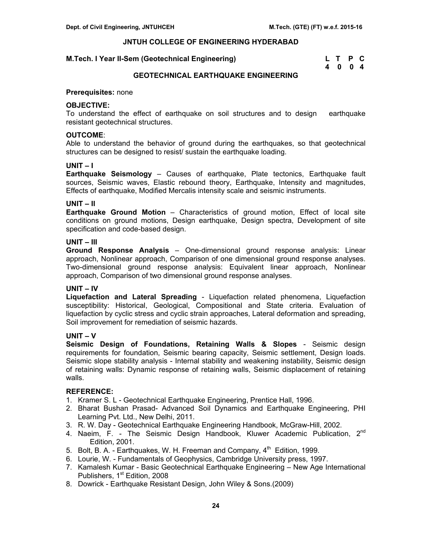# **M.Tech. I Year II-Sem (Geotechnical Engineering)**

| M.Tech. I Year II-Sem (Geotechnical Engineering) | L T P C |  |
|--------------------------------------------------|---------|--|
|                                                  | 4004    |  |

# **GEOTECHNICAL EARTHQUAKE ENGINEERING**

#### **Prerequisites:** none

# **OBJECTIVE:**

To understand the effect of earthquake on soil structures and to design earthquake resistant geotechnical structures.

# **OUTCOME**:

Able to understand the behavior of ground during the earthquakes, so that geotechnical structures can be designed to resist/ sustain the earthquake loading.

# **UNIT – I**

**Earthquake Seismology** – Causes of earthquake, Plate tectonics, Earthquake fault sources, Seismic waves, Elastic rebound theory, Earthquake, Intensity and magnitudes, Effects of earthquake, Modified Mercalis intensity scale and seismic instruments.

# **UNIT – II**

**Earthquake Ground Motion** – Characteristics of ground motion, Effect of local site conditions on ground motions, Design earthquake, Design spectra, Development of site specification and code-based design.

# **UNIT – III**

**Ground Response Analysis** – One-dimensional ground response analysis: Linear approach, Nonlinear approach, Comparison of one dimensional ground response analyses. Two-dimensional ground response analysis: Equivalent linear approach, Nonlinear approach, Comparison of two dimensional ground response analyses.

#### **UNIT – IV**

**Liquefaction and Lateral Spreading** - Liquefaction related phenomena, Liquefaction susceptibility: Historical, Geological, Compositional and State criteria. Evaluation of liquefaction by cyclic stress and cyclic strain approaches, Lateral deformation and spreading, Soil improvement for remediation of seismic hazards.

# **UNIT – V**

**Seismic Design of Foundations, Retaining Walls & Slopes** - Seismic design requirements for foundation, Seismic bearing capacity, Seismic settlement, Design loads. Seismic slope stability analysis - Internal stability and weakening instability, Seismic design of retaining walls: Dynamic response of retaining walls, Seismic displacement of retaining walls.

- 1. Kramer S. L Geotechnical Earthquake Engineering, Prentice Hall, 1996.
- 2. Bharat Bushan Prasad- Advanced Soil Dynamics and Earthquake Engineering, PHI Learning Pvt. Ltd., New Delhi, 2011.
- 3. R. W. Day Geotechnical Earthquake Engineering Handbook, McGraw-Hill, 2002.
- 4. Naeim, F. The Seismic Design Handbook, Kluwer Academic Publication, 2<sup>nd</sup> Edition, 2001.
- 5. Bolt, B. A. Earthquakes, W. H. Freeman and Company,  $4<sup>th</sup>$  Edition, 1999.
- 6. Lourie, W. Fundamentals of Geophysics, Cambridge University press, 1997.
- 7. Kamalesh Kumar Basic Geotechnical Earthquake Engineering New Age International Publishers, 1<sup>st</sup> Edition, 2008
- 8. Dowrick Earthquake Resistant Design, John Wiley & Sons.(2009)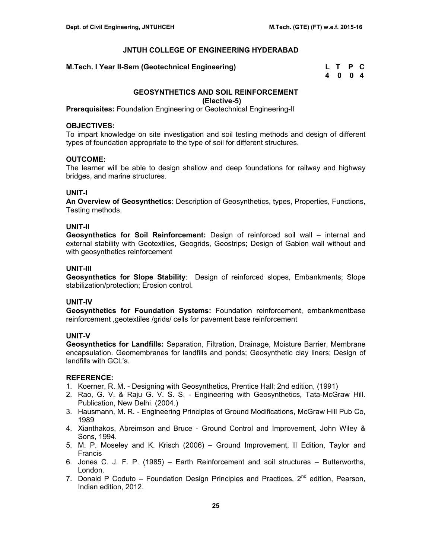# **M.Tech. I Year II-Sem (Geotechnical Engineering)**

| M.Tech. I Year II-Sem (Geotechnical Engineering) | L T P C |  |  |
|--------------------------------------------------|---------|--|--|
|                                                  | 4004    |  |  |

# **GEOSYNTHETICS AND SOIL REINFORCEMENT (Elective-5)**

**Prerequisites:** Foundation Engineering or Geotechnical Engineering-II

# **OBJECTIVES:**

To impart knowledge on site investigation and soil testing methods and design of different types of foundation appropriate to the type of soil for different structures.

# **OUTCOME:**

The learner will be able to design shallow and deep foundations for railway and highway bridges, and marine structures.

# **UNIT-I**

**An Overview of Geosynthetics**: Description of Geosynthetics, types, Properties, Functions, Testing methods.

# **UNIT-II**

**Geosynthetics for Soil Reinforcement:** Design of reinforced soil wall – internal and external stability with Geotextiles, Geogrids, Geostrips; Design of Gabion wall without and with geosynthetics reinforcement

# **UNIT-III**

**Geosynthetics for Slope Stability**: Design of reinforced slopes, Embankments; Slope stabilization/protection; Erosion control.

# **UNIT-IV**

**Geosynthetics for Foundation Systems:** Foundation reinforcement, embankmentbase reinforcement ,geotextiles /grids/ cells for pavement base reinforcement

# **UNIT-V**

**Geosynthetics for Landfills:** Separation, Filtration, Drainage, Moisture Barrier, Membrane encapsulation. Geomembranes for landfills and ponds; Geosynthetic clay liners; Design of landfills with GCL's.

- 1. Koerner, R. M. Designing with Geosynthetics, Prentice Hall; 2nd edition, (1991)
- 2. Rao, G. V. & Raju G. V. S. S. Engineering with Geosynthetics, Tata-McGraw Hill. Publication, New Delhi. (2004.)
- 3. Hausmann, M. R. Engineering Principles of Ground Modifications, McGraw Hill Pub Co, 1989
- 4. Xianthakos, Abreimson and Bruce Ground Control and Improvement, John Wiley & Sons, 1994.
- 5. M. P. Moseley and K. Krisch (2006) Ground Improvement, II Edition, Taylor and Francis
- 6. Jones C. J. F. P. (1985) Earth Reinforcement and soil structures Butterworths, London.
- 7. Donald P Coduto Foundation Design Principles and Practices,  $2<sup>nd</sup>$  edition, Pearson, Indian edition, 2012.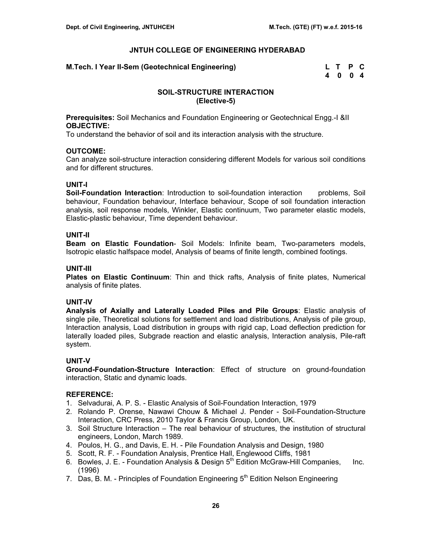# **M.Tech. I Year II-Sem (Geotechnical Engineering)**

| M.Tech. I Year II-Sem (Geotechnical Engineering) | L T P C |  |
|--------------------------------------------------|---------|--|
|                                                  | 4 0 0 4 |  |

# **SOIL-STRUCTURE INTERACTION (Elective-5)**

**Prerequisites:** Soil Mechanics and Foundation Engineering or Geotechnical Engg.-I &II **OBJECTIVE:** 

To understand the behavior of soil and its interaction analysis with the structure.

#### **OUTCOME:**

Can analyze soil-structure interaction considering different Models for various soil conditions and for different structures.

#### **UNIT-I**

**Soil-Foundation Interaction**: Introduction to soil-foundation interaction problems, Soil behaviour, Foundation behaviour, Interface behaviour, Scope of soil foundation interaction analysis, soil response models, Winkler, Elastic continuum, Two parameter elastic models, Elastic-plastic behaviour, Time dependent behaviour.

# **UNIT-II**

**Beam on Elastic Foundation**- Soil Models: Infinite beam, Two-parameters models, Isotropic elastic halfspace model, Analysis of beams of finite length, combined footings.

# **UNIT-III**

**Plates on Elastic Continuum**: Thin and thick rafts, Analysis of finite plates, Numerical analysis of finite plates.

# **UNIT-IV**

**Analysis of Axially and Laterally Loaded Piles and Pile Groups**: Elastic analysis of single pile, Theoretical solutions for settlement and load distributions, Analysis of pile group, Interaction analysis, Load distribution in groups with rigid cap, Load deflection prediction for laterally loaded piles, Subgrade reaction and elastic analysis, Interaction analysis, Pile-raft system.

#### **UNIT-V**

**Ground-Foundation-Structure Interaction**: Effect of structure on ground-foundation interaction, Static and dynamic loads.

- 1. Selvadurai, A. P. S. Elastic Analysis of Soil-Foundation Interaction, 1979
- 2. Rolando P. Orense, Nawawi Chouw & Michael J. Pender Soil-Foundation-Structure Interaction, CRC Press, 2010 Taylor & Francis Group, London, UK.
- 3. Soil Structure Interaction The real behaviour of structures, the institution of structural engineers, London, March 1989.
- 4. Poulos, H. G., and Davis, E. H. Pile Foundation Analysis and Design, 1980
- 5. Scott, R. F. Foundation Analysis, Prentice Hall, Englewood Cliffs, 1981
- 6. Bowles, J. E. Foundation Analysis & Design  $5<sup>th</sup>$  Edition McGraw-Hill Companies, Inc. (1996)
- 7. Das, B. M. Principles of Foundation Engineering  $5<sup>th</sup>$  Edition Nelson Engineering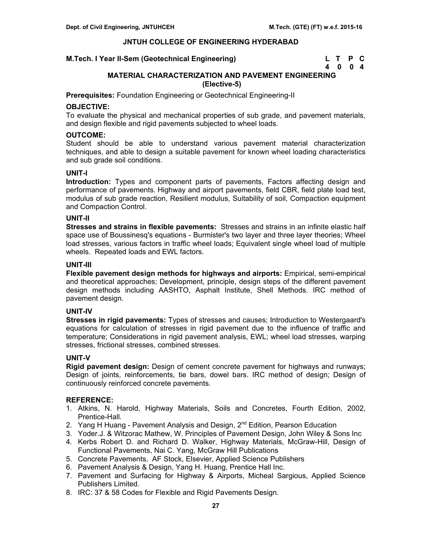# **M.Tech. I Year II-Sem (Geotechnical Engineering)**

| M.Tech. I Year II-Sem (Geotechnical Engineering) | L T P C |  |
|--------------------------------------------------|---------|--|
|                                                  | 4004    |  |

# **MATERIAL CHARACTERIZATION AND PAVEMENT ENGINEERING (Elective-5)**

**Prerequisites:** Foundation Engineering or Geotechnical Engineering-II

# **OBJECTIVE:**

To evaluate the physical and mechanical properties of sub grade, and pavement materials, and design flexible and rigid pavements subjected to wheel loads.

# **OUTCOME:**

Student should be able to understand various pavement material characterization techniques, and able to design a suitable pavement for known wheel loading characteristics and sub grade soil conditions.

# **UNIT-I**

**Introduction:** Types and component parts of pavements, Factors affecting design and performance of pavements. Highway and airport pavements, field CBR, field plate load test, modulus of sub grade reaction, Resilient modulus, Suitability of soil, Compaction equipment and Compaction Control.

#### **UNIT-II**

**Stresses and strains in flexible pavements:** Stresses and strains in an infinite elastic half space use of Boussinesq's equations - Burmister's two layer and three layer theories; Wheel load stresses, various factors in traffic wheel loads; Equivalent single wheel load of multiple wheels. Repeated loads and EWL factors.

#### **UNIT-III**

**Flexible pavement design methods for highways and airports:** Empirical, semi-empirical and theoretical approaches; Development, principle, design steps of the different pavement design methods including AASHTO, Asphalt Institute, Shell Methods. IRC method of pavement design.

# **UNIT-IV**

**Stresses in rigid pavements:** Types of stresses and causes; Introduction to Westergaard's equations for calculation of stresses in rigid pavement due to the influence of traffic and temperature; Considerations in rigid pavement analysis, EWL; wheel load stresses, warping stresses, frictional stresses, combined stresses.

# **UNIT-V**

**Rigid pavement design:** Design of cement concrete pavement for highways and runways; Design of joints, reinforcements, tie bars, dowel bars. IRC method of design; Design of continuously reinforced concrete pavements.

- 1. Atkins, N. Harold, Highway Materials, Soils and Concretes, Fourth Edition, 2002, Prentice-Hall.
- 2. Yang H Huang Pavement Analysis and Design, 2<sup>nd</sup> Edition, Pearson Education
- 3. Yoder.J. & Witzorac Mathew, W. Principles of Pavement Design, John Wiley & Sons Inc
- 4. Kerbs Robert D. and Richard D. Walker, Highway Materials, McGraw-Hill, Design of Functional Pavements, Nai C. Yang, McGraw Hill Publications
- 5. Concrete Pavements, AF Stock, Elsevier, Applied Science Publishers
- 6. Pavement Analysis & Design, Yang H. Huang, Prentice Hall Inc.
- 7. Pavement and Surfacing for Highway & Airports, Micheal Sargious, Applied Science Publishers Limited.
- 8. IRC: 37 & 58 Codes for Flexible and Rigid Pavements Design.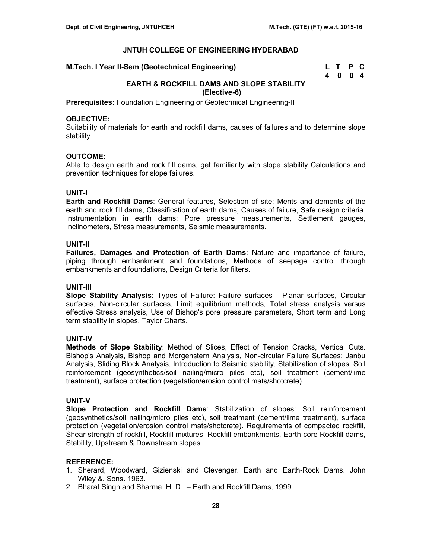#### **M.Tech. I Year II-Sem (Geotechnical Engineering)**

| M.Tech. I Year II-Sem (Geotechnical Engineering) | L T P C |  |
|--------------------------------------------------|---------|--|
|                                                  | 4004    |  |

# **EARTH & ROCKFILL DAMS AND SLOPE STABILITY (Elective-6)**

**Prerequisites:** Foundation Engineering or Geotechnical Engineering-II

#### **OBJECTIVE:**

Suitability of materials for earth and rockfill dams, causes of failures and to determine slope stability.

# **OUTCOME:**

Able to design earth and rock fill dams, get familiarity with slope stability Calculations and prevention techniques for slope failures.

# **UNIT-I**

**Earth and Rockfill Dams**: General features, Selection of site; Merits and demerits of the earth and rock fill dams, Classification of earth dams, Causes of failure, Safe design criteria. Instrumentation in earth dams: Pore pressure measurements, Settlement gauges, Inclinometers, Stress measurements, Seismic measurements.

# **UNIT-II**

**Failures, Damages and Protection of Earth Dams**: Nature and importance of failure, piping through embankment and foundations, Methods of seepage control through embankments and foundations, Design Criteria for filters.

#### **UNIT-III**

**Slope Stability Analysis**: Types of Failure: Failure surfaces - Planar surfaces, Circular surfaces, Non-circular surfaces, Limit equilibrium methods, Total stress analysis versus effective Stress analysis, Use of Bishop's pore pressure parameters, Short term and Long term stability in slopes. Taylor Charts.

#### **UNIT-IV**

**Methods of Slope Stability**: Method of Slices, Effect of Tension Cracks, Vertical Cuts. Bishop's Analysis, Bishop and Morgenstern Analysis, Non-circular Failure Surfaces: Janbu Analysis, Sliding Block Analysis, Introduction to Seismic stability, Stabilization of slopes: Soil reinforcement (geosynthetics/soil nailing/micro piles etc), soil treatment (cement/lime treatment), surface protection (vegetation/erosion control mats/shotcrete).

#### **UNIT-V**

**Slope Protection and Rockfill Dams**: Stabilization of slopes: Soil reinforcement (geosynthetics/soil nailing/micro piles etc), soil treatment (cement/lime treatment), surface protection (vegetation/erosion control mats/shotcrete). Requirements of compacted rockfill, Shear strength of rockfill, Rockfill mixtures, Rockfill embankments, Earth-core Rockfill dams, Stability, Upstream & Downstream slopes.

- 1. Sherard, Woodward, Gizienski and Clevenger. Earth and Earth-Rock Dams. John Wiley &. Sons. 1963.
- 2. Bharat Singh and Sharma, H. D. Earth and Rockfill Dams, 1999.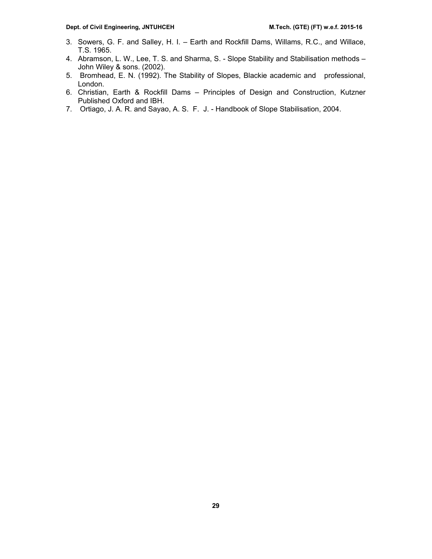- 3. Sowers, G. F. and Salley, H. I. Earth and Rockfill Dams, Willams, R.C., and Willace, T.S. 1965.
- 4. Abramson, L. W., Lee, T. S. and Sharma, S. Slope Stability and Stabilisation methods John Wiley & sons. (2002).
- 5. Bromhead, E. N. (1992). The Stability of Slopes, Blackie academic and professional, London.
- 6. Christian, Earth & Rockfill Dams Principles of Design and Construction, Kutzner Published Oxford and IBH.
- 7. Ortiago, J. A. R. and Sayao, A. S. F. J. Handbook of Slope Stabilisation, 2004.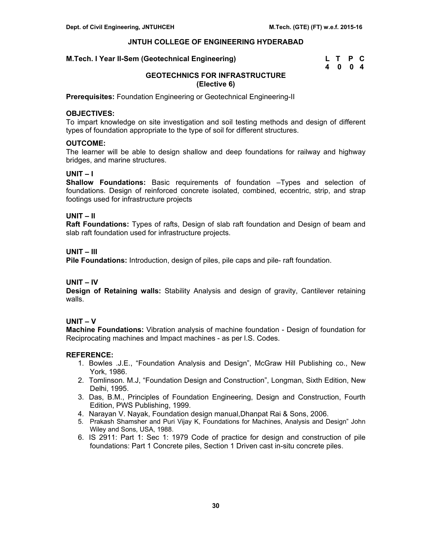# **M.Tech. I Year II-Sem (Geotechnical Engineering)**

| M.Tech. I Year II-Sem (Geotechnical Engineering) | L T P C |  |
|--------------------------------------------------|---------|--|
|                                                  | 4004    |  |

# **GEOTECHNICS FOR INFRASTRUCTURE (Elective 6)**

**Prerequisites:** Foundation Engineering or Geotechnical Engineering-II

# **OBJECTIVES:**

To impart knowledge on site investigation and soil testing methods and design of different types of foundation appropriate to the type of soil for different structures.

# **OUTCOME:**

The learner will be able to design shallow and deep foundations for railway and highway bridges, and marine structures.

# **UNIT – I**

**Shallow Foundations:** Basic requirements of foundation –Types and selection of foundations. Design of reinforced concrete isolated, combined, eccentric, strip, and strap footings used for infrastructure projects

# **UNIT – II**

**Raft Foundations:** Types of rafts, Design of slab raft foundation and Design of beam and slab raft foundation used for infrastructure projects.

# **UNIT – III**

**Pile Foundations:** Introduction, design of piles, pile caps and pile- raft foundation.

# **UNIT – IV**

**Design of Retaining walls:** Stability Analysis and design of gravity, Cantilever retaining walls.

#### **UNIT – V**

**Machine Foundations:** Vibration analysis of machine foundation - Design of foundation for Reciprocating machines and Impact machines - as per l.S. Codes.

- 1. Bowles .J.E., "Foundation Analysis and Design", McGraw Hill Publishing co., New York, 1986.
- 2. Tomlinson. M.J, "Foundation Design and Construction", Longman, Sixth Edition, New Delhi, 1995.
- 3. Das, B.M., Principles of Foundation Engineering, Design and Construction, Fourth Edition, PWS Publishing, 1999.
- 4. Narayan V. Nayak, Foundation design manual,Dhanpat Rai & Sons, 2006.
- 5. Prakash Shamsher and Puri Vijay K, Foundations for Machines, Analysis and Design" John Wiley and Sons, USA, 1988.
- 6. IS 2911: Part 1: Sec 1: 1979 Code of practice for design and construction of pile foundations: Part 1 Concrete piles, Section 1 Driven cast in-situ concrete piles.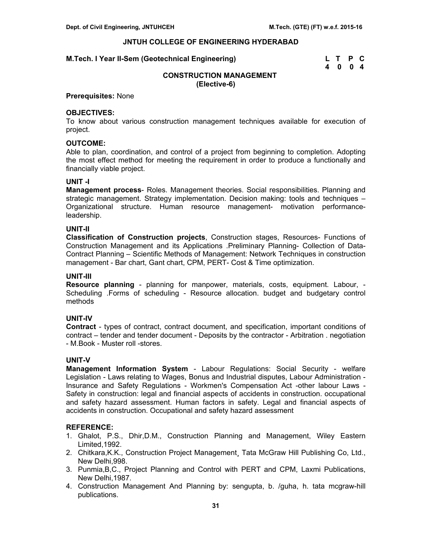#### **M.Tech. I Year II-Sem (Geotechnical Engineering)**

| M.Tech. I Year II-Sem (Geotechnical Engineering) | L T P C |  |
|--------------------------------------------------|---------|--|
|                                                  | 4004    |  |

# **CONSTRUCTION MANAGEMENT (Elective-6)**

#### **Prerequisites:** None

# **OBJECTIVES:**

To know about various construction management techniques available for execution of project.

#### **OUTCOME:**

Able to plan, coordination, and control of a project from beginning to completion. Adopting the most effect method for meeting the requirement in order to produce a functionally and financially viable project.

#### **UNIT -I**

**Management process**- Roles. Management theories. Social responsibilities. Planning and strategic management. Strategy implementation. Decision making: tools and techniques – Organizational structure. Human resource management- motivation performanceleadership.

# **UNIT-II**

**Classification of Construction projects**, Construction stages, Resources- Functions of Construction Management and its Applications .Preliminary Planning- Collection of Data-Contract Planning – Scientific Methods of Management: Network Techniques in construction management - Bar chart, Gant chart, CPM, PERT- Cost & Time optimization.

# **UNIT-III**

**Resource planning** - planning for manpower, materials, costs, equipment. Labour, - Scheduling .Forms of scheduling - Resource allocation. budget and budgetary control methods

# **UNIT-IV**

**Contract** - types of contract, contract document, and specification, important conditions of contract – tender and tender document - Deposits by the contractor - Arbitration . negotiation - M.Book - Muster roll -stores.

# **UNIT-V**

**Management Information System** - Labour Regulations: Social Security - welfare Legislation - Laws relating to Wages, Bonus and Industrial disputes, Labour Administration - Insurance and Safety Regulations - Workmen's Compensation Act -other labour Laws - Safety in construction: legal and financial aspects of accidents in construction. occupational and safety hazard assessment. Human factors in safety. Legal and financial aspects of accidents in construction. Occupational and safety hazard assessment

- 1. Ghalot, P.S., Dhir,D.M., Construction Planning and Management, Wiley Eastern Limited,1992.
- 2. Chitkara,K.K., Construction Project Management¸ Tata McGraw Hill Publishing Co, Ltd., New Delhi,998.
- 3. Punmia,B,C., Project Planning and Control with PERT and CPM, Laxmi Publications, New Delhi,1987.
- 4. Construction Management And Planning by: sengupta, b. /guha, h. tata mcgraw-hill publications.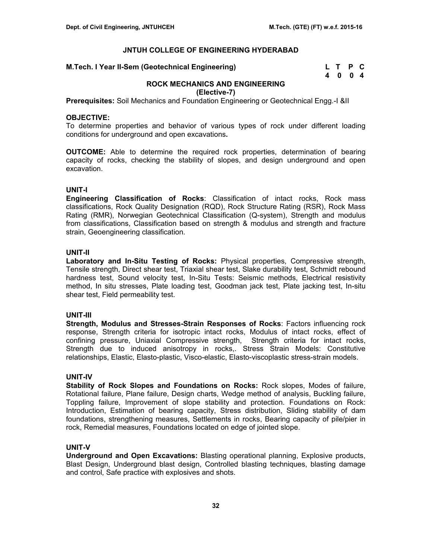# **M.Tech. I Year II-Sem (Geotechnical Engineering)**

| M.Tech. I Year II-Sem (Geotechnical Engineering) | L T P C |  |
|--------------------------------------------------|---------|--|
|                                                  | 4004    |  |

# **ROCK MECHANICS AND ENGINEERING**

**(Elective-7)** 

**Prerequisites:** Soil Mechanics and Foundation Engineering or Geotechnical Engg.-I &II

#### **OBJECTIVE:**

To determine properties and behavior of various types of rock under different loading conditions for underground and open excavations**.** 

**OUTCOME:** Able to determine the required rock properties, determination of bearing capacity of rocks, checking the stability of slopes, and design underground and open excavation.

# **UNIT-I**

**Engineering Classification of Rocks**: Classification of intact rocks, Rock mass classifications, Rock Quality Designation (RQD), Rock Structure Rating (RSR), Rock Mass Rating (RMR), Norwegian Geotechnical Classification (Q-system), Strength and modulus from classifications, Classification based on strength & modulus and strength and fracture strain, Geoengineering classification.

# **UNIT-II**

**Laboratory and In-Situ Testing of Rocks:** Physical properties, Compressive strength, Tensile strength, Direct shear test, Triaxial shear test, Slake durability test, Schmidt rebound hardness test, Sound velocity test, In-Situ Tests: Seismic methods, Electrical resistivity method, In situ stresses, Plate loading test, Goodman jack test, Plate jacking test, In-situ shear test, Field permeability test.

# **UNIT-III**

**Strength, Modulus and Stresses-Strain Responses of Rocks**: Factors influencing rock response, Strength criteria for isotropic intact rocks, Modulus of intact rocks, effect of confining pressure, Uniaxial Compressive strength, Strength criteria for intact rocks, Strength due to induced anisotropy in rocks,. Stress Strain Models: Constitutive relationships, Elastic, Elasto-plastic, Visco-elastic, Elasto-viscoplastic stress-strain models.

# **UNIT-IV**

**Stability of Rock Slopes and Foundations on Rocks:** Rock slopes, Modes of failure, Rotational failure, Plane failure, Design charts, Wedge method of analysis, Buckling failure, Toppling failure, Improvement of slope stability and protection. Foundations on Rock: Introduction, Estimation of bearing capacity, Stress distribution, Sliding stability of dam foundations, strengthening measures, Settlements in rocks, Bearing capacity of pile/pier in rock, Remedial measures, Foundations located on edge of jointed slope.

#### **UNIT-V**

**Underground and Open Excavations:** Blasting operational planning, Explosive products, Blast Design, Underground blast design, Controlled blasting techniques, blasting damage and control, Safe practice with explosives and shots.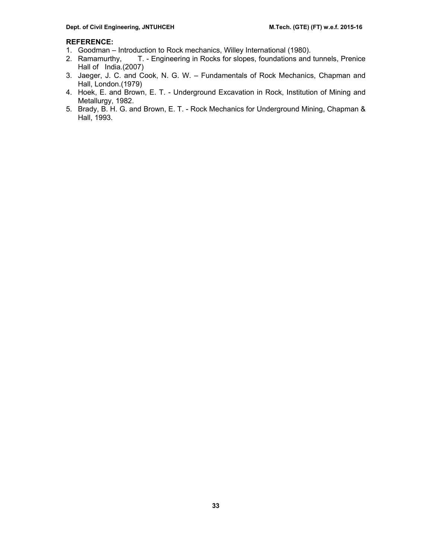- 1. Goodman Introduction to Rock mechanics, Willey International (1980).
- 2. Ramamurthy, T. Engineering in Rocks for slopes, foundations and tunnels, Prenice Hall of India.(2007)
- 3. Jaeger, J. C. and Cook, N. G. W. Fundamentals of Rock Mechanics, Chapman and Hall, London.(1979)
- 4. Hoek, E. and Brown, E. T. Underground Excavation in Rock, Institution of Mining and Metallurgy, 1982.
- 5. Brady, B. H. G. and Brown, E. T. Rock Mechanics for Underground Mining, Chapman & Hall, 1993.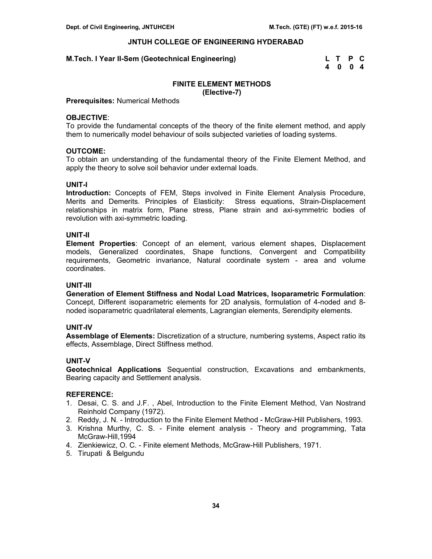#### **M.Tech. I Year II-Sem (Geotechnical Engineering)**

| M.Tech. I Year II-Sem (Geotechnical Engineering) | L T P C |  |
|--------------------------------------------------|---------|--|
|                                                  | 4 0 0 4 |  |

# **FINITE ELEMENT METHODS (Elective-7)**

#### **Prerequisites:** Numerical Methods

#### **OBJECTIVE**:

To provide the fundamental concepts of the theory of the finite element method, and apply them to numerically model behaviour of soils subjected varieties of loading systems.

#### **OUTCOME:**

To obtain an understanding of the fundamental theory of the Finite Element Method, and apply the theory to solve soil behavior under external loads.

#### **UNIT-I**

**Introduction:** Concepts of FEM, Steps involved in Finite Element Analysis Procedure, Merits and Demerits. Principles of Elasticity: Stress equations, Strain-Displacement relationships in matrix form, Plane stress, Plane strain and axi-symmetric bodies of revolution with axi-symmetric loading.

# **UNIT-II**

**Element Properties**: Concept of an element, various element shapes, Displacement models, Generalized coordinates, Shape functions, Convergent and Compatibility requirements, Geometric invariance, Natural coordinate system - area and volume coordinates.

# **UNIT-III**

**Generation of Element Stiffness and Nodal Load Matrices, Isoparametric Formulation**: Concept, Different isoparametric elements for 2D analysis, formulation of 4-noded and 8 noded isoparametric quadrilateral elements, Lagrangian elements, Serendipity elements.

#### **UNIT-IV**

**Assemblage of Elements:** Discretization of a structure, numbering systems, Aspect ratio its effects, Assemblage, Direct Stiffness method.

# **UNIT-V**

**Geotechnical Applications** Sequential construction, Excavations and embankments, Bearing capacity and Settlement analysis.

- 1. Desai, C. S. and J.F. , Abel, Introduction to the Finite Element Method, Van Nostrand Reinhold Company (1972).
- 2. Reddy, J. N. Introduction to the Finite Element Method McGraw-Hill Publishers, 1993.
- 3. Krishna Murthy, C. S. Finite element analysis Theory and programming, Tata McGraw-Hill,1994
- 4. Zienkiewicz, O. C. Finite element Methods, McGraw-Hill Publishers, 1971.
- 5. Tirupati & Belgundu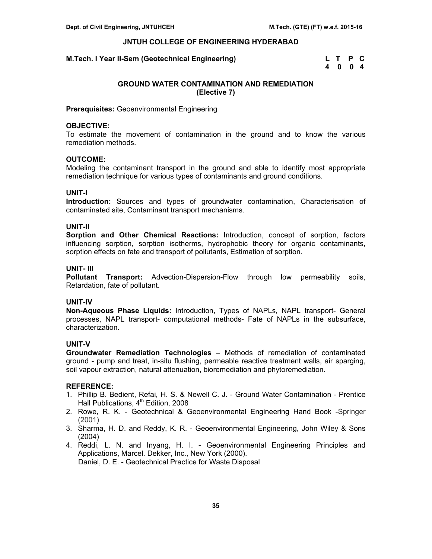# **M.Tech. I Year II-Sem (Geotechnical Engineering)**

| M.Tech. I Year II-Sem (Geotechnical Engineering) | L T P C |  |
|--------------------------------------------------|---------|--|
|                                                  | 4004    |  |

# **GROUND WATER CONTAMINATION AND REMEDIATION (Elective 7)**

**Prerequisites:** Geoenvironmental Engineering

# **OBJECTIVE:**

To estimate the movement of contamination in the ground and to know the various remediation methods.

# **OUTCOME:**

Modeling the contaminant transport in the ground and able to identify most appropriate remediation technique for various types of contaminants and ground conditions.

# **UNIT-I**

**Introduction:** Sources and types of groundwater contamination, Characterisation of contaminated site, Contaminant transport mechanisms.

# **UNIT-II**

**Sorption and Other Chemical Reactions:** Introduction, concept of sorption, factors influencing sorption, sorption isotherms, hydrophobic theory for organic contaminants, sorption effects on fate and transport of pollutants, Estimation of sorption.

# **UNIT- III**

**Pollutant Transport:** Advection-Dispersion-Flow through low permeability soils, Retardation, fate of pollutant.

# **UNIT-IV**

**Non-Aqueous Phase Liquids:** Introduction, Types of NAPLs, NAPL transport- General processes, NAPL transport- computational methods- Fate of NAPLs in the subsurface, characterization.

#### **UNIT-V**

**Groundwater Remediation Technologies** – Methods of remediation of contaminated ground - pump and treat, in-situ flushing, permeable reactive treatment walls, air sparging, soil vapour extraction, natural attenuation, bioremediation and phytoremediation.

- 1. Phillip B. Bedient, Refai, H. S. & Newell C. J. Ground Water Contamination Prentice Hall Publications, 4<sup>th</sup> Edition, 2008
- 2. Rowe, R. K. Geotechnical & Geoenvironmental Engineering Hand Book -Springer (2001)
- 3. Sharma, H. D. and Reddy, K. R. Geoenvironmental Engineering, John Wiley & Sons (2004)
- 4. Reddi, L. N. and Inyang, H. I. Geoenvironmental Engineering Principles and Applications, Marcel. Dekker, Inc., New York (2000). Daniel, D. E. - Geotechnical Practice for Waste Disposal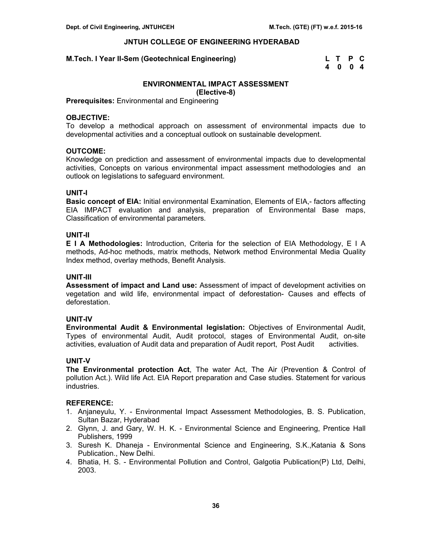# **M.Tech. I Year II-Sem (Geotechnical Engineering)**

| M.Tech. I Year II-Sem (Geotechnical Engineering) | L T P C |  |
|--------------------------------------------------|---------|--|
|                                                  | 4004    |  |

# **ENVIRONMENTAL IMPACT ASSESSMENT**

**(Elective-8)** 

**Prerequisites:** Environmental and Engineering

#### **OBJECTIVE:**

To develop a methodical approach on assessment of environmental impacts due to developmental activities and a conceptual outlook on sustainable development.

# **OUTCOME:**

Knowledge on prediction and assessment of environmental impacts due to developmental activities, Concepts on various environmental impact assessment methodologies and an outlook on legislations to safeguard environment.

# **UNIT-I**

**Basic concept of EIA:** Initial environmental Examination, Elements of EIA,- factors affecting EIA IMPACT evaluation and analysis, preparation of Environmental Base maps, Classification of environmental parameters.

# **UNIT-II**

**E I A Methodologies:** Introduction, Criteria for the selection of EIA Methodology, E I A methods, Ad-hoc methods, matrix methods, Network method Environmental Media Quality Index method, overlay methods, Benefit Analysis.

# **UNIT-III**

**Assessment of impact and Land use:** Assessment of impact of development activities on vegetation and wild life, environmental impact of deforestation- Causes and effects of deforestation.

# **UNIT-IV**

**Environmental Audit & Environmental legislation:** Objectives of Environmental Audit, Types of environmental Audit, Audit protocol, stages of Environmental Audit, on-site activities, evaluation of Audit data and preparation of Audit report, Post Audit activities.

#### **UNIT-V**

**The Environmental protection Act**, The water Act, The Air (Prevention & Control of pollution Act.). Wild life Act. EIA Report preparation and Case studies. Statement for various industries.

- 1. Anjaneyulu, Y. Environmental Impact Assessment Methodologies, B. S. Publication, Sultan Bazar, Hyderabad
- 2. Glynn, J. and Gary, W. H. K. Environmental Science and Engineering, Prentice Hall Publishers, 1999
- 3. Suresh K. Dhaneja Environmental Science and Engineering, S.K.,Katania & Sons Publication., New Delhi.
- 4. Bhatia, H. S. Environmental Pollution and Control, Galgotia Publication(P) Ltd, Delhi, 2003.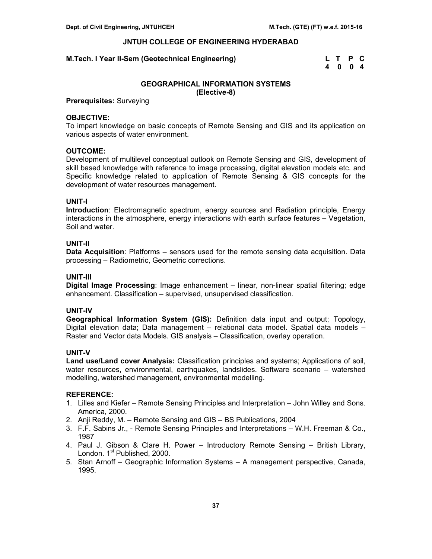# **M.Tech. I Year II-Sem (Geotechnical Engineering)**

| M.Tech. I Year II-Sem (Geotechnical Engineering) | L T P C |  |
|--------------------------------------------------|---------|--|
|                                                  | 4004    |  |

# **GEOGRAPHICAL INFORMATION SYSTEMS (Elective-8)**

# **Prerequisites:** Surveying

# **OBJECTIVE:**

To impart knowledge on basic concepts of Remote Sensing and GIS and its application on various aspects of water environment.

# **OUTCOME:**

Development of multilevel conceptual outlook on Remote Sensing and GIS, development of skill based knowledge with reference to image processing, digital elevation models etc. and Specific knowledge related to application of Remote Sensing & GIS concepts for the development of water resources management.

# **UNIT-I**

**Introduction**: Electromagnetic spectrum, energy sources and Radiation principle, Energy interactions in the atmosphere, energy interactions with earth surface features – Vegetation, Soil and water.

# **UNIT-II**

**Data Acquisition**: Platforms – sensors used for the remote sensing data acquisition. Data processing – Radiometric, Geometric corrections.

# **UNIT-III**

**Digital Image Processing**: Image enhancement – linear, non-linear spatial filtering; edge enhancement. Classification – supervised, unsupervised classification.

#### **UNIT-IV**

**Geographical Information System (GIS):** Definition data input and output; Topology, Digital elevation data; Data management – relational data model. Spatial data models – Raster and Vector data Models. GIS analysis – Classification, overlay operation.

# **UNIT-V**

**Land use/Land cover Analysis:** Classification principles and systems; Applications of soil, water resources, environmental, earthquakes, landslides. Software scenario – watershed modelling, watershed management, environmental modelling.

- 1. Lilles and Kiefer Remote Sensing Principles and Interpretation John Willey and Sons. America, 2000.
- 2. Anji Reddy, M. Remote Sensing and GIS BS Publications, 2004
- 3. F.F. Sabins Jr., Remote Sensing Principles and Interpretations W.H. Freeman & Co., 1987
- 4. Paul J. Gibson & Clare H. Power Introductory Remote Sensing British Library, London. 1<sup>st</sup> Published, 2000.
- 5. Stan Arnoff Geographic Information Systems A management perspective, Canada, 1995.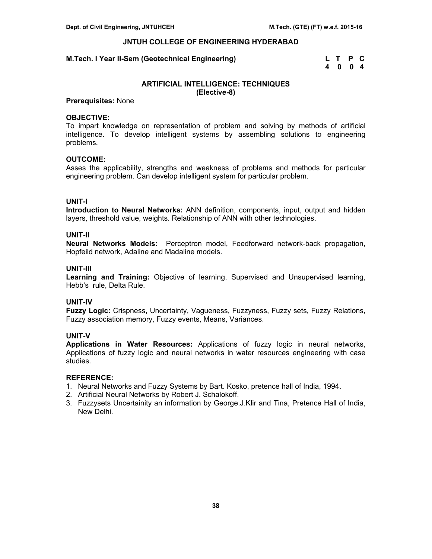#### **M.Tech. I Year II-Sem (Geotechnical Engineering)**

| M.Tech. I Year II-Sem (Geotechnical Engineering) | L T P C |  |
|--------------------------------------------------|---------|--|
|                                                  | 4004    |  |

# **ARTIFICIAL INTELLIGENCE: TECHNIQUES (Elective-8)**

# **Prerequisites:** None

#### **OBJECTIVE:**

To impart knowledge on representation of problem and solving by methods of artificial intelligence. To develop intelligent systems by assembling solutions to engineering problems.

# **OUTCOME:**

Asses the applicability, strengths and weakness of problems and methods for particular engineering problem. Can develop intelligent system for particular problem.

# **UNIT-I**

**Introduction to Neural Networks:** ANN definition, components, input, output and hidden layers, threshold value, weights. Relationship of ANN with other technologies.

# **UNIT-II**

**Neural Networks Models:** Perceptron model, Feedforward network-back propagation, Hopfeild network, Adaline and Madaline models.

# **UNIT-III**

**Learning and Training:** Objective of learning, Supervised and Unsupervised learning, Hebb's rule, Delta Rule.

# **UNIT-IV**

**Fuzzy Logic:** Crispness, Uncertainty, Vagueness, Fuzzyness, Fuzzy sets, Fuzzy Relations, Fuzzy association memory, Fuzzy events, Means, Variances.

# **UNIT-V**

**Applications in Water Resources:** Applications of fuzzy logic in neural networks, Applications of fuzzy logic and neural networks in water resources engineering with case studies.

- 1. Neural Networks and Fuzzy Systems by Bart. Kosko, pretence hall of India, 1994.
- 2. Artificial Neural Networks by Robert J. Schalokoff.
- 3. Fuzzysets Uncertainity an information by George.J.Klir and Tina, Pretence Hall of India, New Delhi.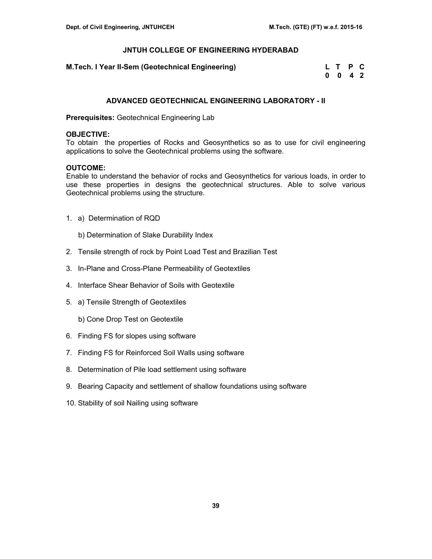| M.Tech. I Year II-Sem (Geotechnical Engineering) | L T P C |  |
|--------------------------------------------------|---------|--|
|                                                  | 0 0 4 2 |  |

# **ADVANCED GEOTECHNICAL ENGINEERING LABORATORY - II**

**Prerequisites:** Geotechnical Engineering Lab

# **OBJECTIVE:**

To obtain the properties of Rocks and Geosynthetics so as to use for civil engineering applications to solve the Geotechnical problems using the software.

# **OUTCOME:**

 Enable to understand the behavior of rocks and Geosynthetics for various loads, in order to use these properties in designs the geotechnical structures. Able to solve various Geotechnical problems using the structure.

- 1. a) Determination of RQD
	- b) Determination of Slake Durability Index
- 2. Tensile strength of rock by Point Load Test and Brazilian Test
- 3. In-Plane and Cross-Plane Permeability of Geotextiles
- 4. Interface Shear Behavior of Soils with Geotextile
- 5. a) Tensile Strength of Geotextiles

b) Cone Drop Test on Geotextile

- 6. Finding FS for slopes using software
- 7. Finding FS for Reinforced Soil Walls using software
- 8. Determination of Pile load settlement using software
- 9. Bearing Capacity and settlement of shallow foundations using software
- 10. Stability of soil Nailing using software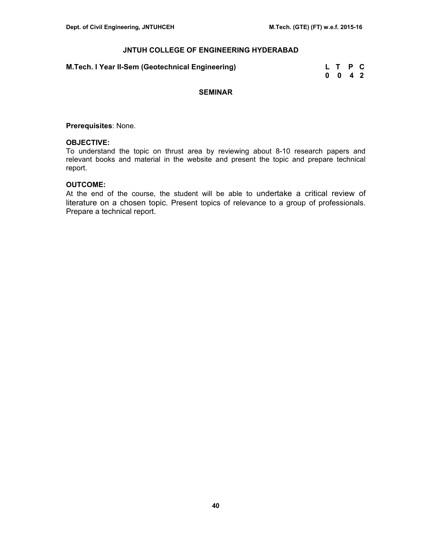# **M.Tech. I Year II-Sem (Geotechnical Engineering)**

| M.Tech. I Year II-Sem (Geotechnical Engineering) | L T P C |  |
|--------------------------------------------------|---------|--|
|                                                  | 0 0 4 2 |  |

# **SEMINAR**

**Prerequisites**: None.

#### **OBJECTIVE:**

To understand the topic on thrust area by reviewing about 8-10 research papers and relevant books and material in the website and present the topic and prepare technical report.

# **OUTCOME:**

At the end of the course, the student will be able to undertake a critical review of literature on a chosen topic. Present topics of relevance to a group of professionals. Prepare a technical report.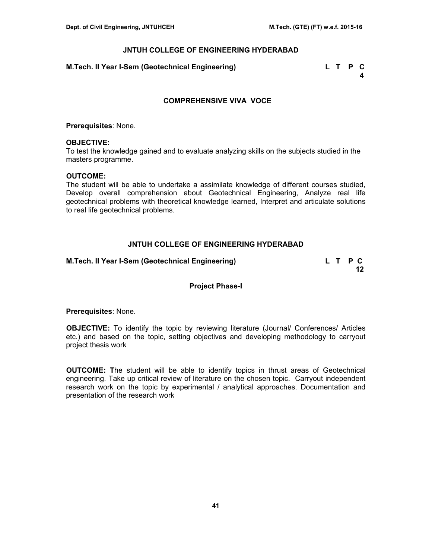# **M.Tech. II Year I-Sem (Geotechnical Engineering) L T P C**

 **4** 

# **COMPREHENSIVE VIVA VOCE**

**Prerequisites**: None.

#### **OBJECTIVE:**

To test the knowledge gained and to evaluate analyzing skills on the subjects studied in the masters programme.

#### **OUTCOME:**

 The student will be able to undertake a assimilate knowledge of different courses studied, Develop overall comprehension about Geotechnical Engineering, Analyze real life geotechnical problems with theoretical knowledge learned, Interpret and articulate solutions to real life geotechnical problems.

# **JNTUH COLLEGE OF ENGINEERING HYDERABAD**

**M.Tech. II Year I-Sem (Geotechnical Engineering) L T P C** 

**12 12** 

#### **Project Phase-I**

**Prerequisites**: None.

**OBJECTIVE:** To identify the topic by reviewing literature (Journal/ Conferences/ Articles etc.) and based on the topic, setting objectives and developing methodology to carryout project thesis work

 **OUTCOME: T**he student will be able to identify topics in thrust areas of Geotechnical engineering. Take up critical review of literature on the chosen topic. Carryout independent research work on the topic by experimental / analytical approaches. Documentation and presentation of the research work